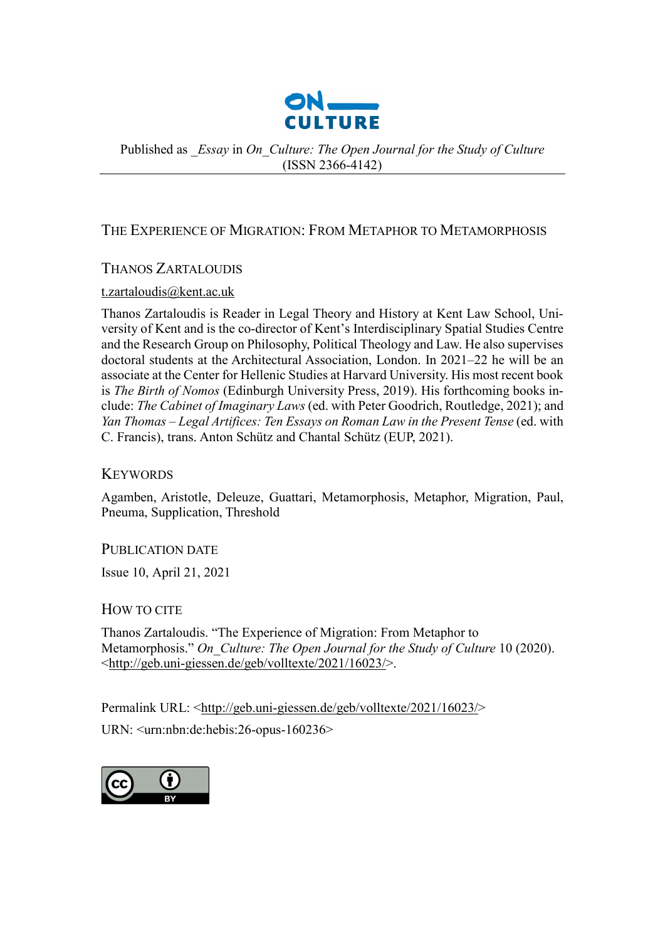

Published as *\_Essay* in *On\_Culture: The Open Journal for the Study of Culture*  (ISSN 2366-4142)

# THE EXPERIENCE OF MIGRATION: FROM METAPHOR TO METAMORPHOSIS

# THANOS ZARTALOUDIS

### [t.zartaloudis@kent.ac.uk](mailto:t.zartaloudis@kent.ac.uk)

Thanos Zartaloudis is Reader in Legal Theory and History at Kent Law School, University of Kent and is the co-director of Kent's Interdisciplinary Spatial Studies Centre and the Research Group on Philosophy, Political Theology and Law. He also supervises doctoral students at the Architectural Association, London. In 2021–22 he will be an associate at the Center for Hellenic Studies at Harvard University. His most recent book is *The Birth of Nomos* (Edinburgh University Press, 2019). His forthcoming books include: *The Cabinet of Imaginary Laws* (ed. with Peter Goodrich, Routledge, 2021); and *Yan Thomas – Legal Artifices: Ten Essays on Roman Law in the Present Tense* (ed. with C. Francis), trans. Anton Schütz and Chantal Schütz (EUP, 2021).

# **KEYWORDS**

Agamben, Aristotle, Deleuze, Guattari, Metamorphosis, Metaphor, Migration, Paul, Pneuma, Supplication, Threshold

# PUBLICATION DATE

Issue 10, April 21, 2021

# HOW TO CITE

Thanos Zartaloudis. "The Experience of Migration: From Metaphor to Metamorphosis." *On\_Culture: The Open Journal for the Study of Culture* 10 (2020). [<http://geb.uni-giessen.de/geb/volltexte/2021/16023/>](http://geb.uni-giessen.de/geb/volltexte/2021/16023/).

Permalink URL: [<http://geb.uni-giessen.de/geb/volltexte/2021/16023/>](http://geb.uni-giessen.de/geb/volltexte/2021/16023/) URN: <urn:nbn:de:hebis:26-opus-160236>

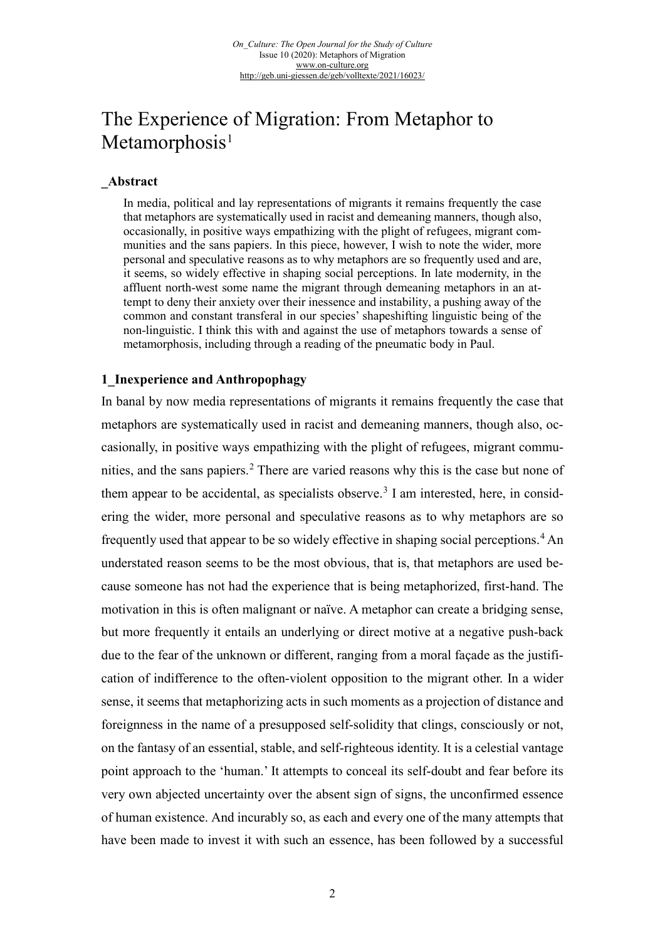# The Experience of Migration: From Metaphor to  $Metamorphosis<sup>1</sup>$  $Metamorphosis<sup>1</sup>$  $Metamorphosis<sup>1</sup>$

#### **\_Abstract**

In media, political and lay representations of migrants it remains frequently the case that metaphors are systematically used in racist and demeaning manners, though also, occasionally, in positive ways empathizing with the plight of refugees, migrant communities and the sans papiers. In this piece, however, I wish to note the wider, more personal and speculative reasons as to why metaphors are so frequently used and are, it seems, so widely effective in shaping social perceptions. In late modernity, in the affluent north-west some name the migrant through demeaning metaphors in an attempt to deny their anxiety over their inessence and instability, a pushing away of the common and constant transferal in our species' shapeshifting linguistic being of the non-linguistic. I think this with and against the use of metaphors towards a sense of metamorphosis, including through a reading of the pneumatic body in Paul.

#### **1\_Inexperience and Anthropophagy**

In banal by now media representations of migrants it remains frequently the case that metaphors are systematically used in racist and demeaning manners, though also, occasionally, in positive ways empathizing with the plight of refugees, migrant commu-nities, and the sans papiers.<sup>[2](#page-5-1)</sup> There are varied reasons why this is the case but none of them appear to be accidental, as specialists observe.<sup>[3](#page-5-2)</sup> I am interested, here, in considering the wider, more personal and speculative reasons as to why metaphors are so frequently used that appear to be so widely effective in shaping social perceptions.<sup>[4](#page-5-3)</sup> An understated reason seems to be the most obvious, that is, that metaphors are used because someone has not had the experience that is being metaphorized, first-hand. The motivation in this is often malignant or naïve. A metaphor can create a bridging sense, but more frequently it entails an underlying or direct motive at a negative push-back due to the fear of the unknown or different, ranging from a moral façade as the justification of indifference to the often-violent opposition to the migrant other. In a wider sense, it seems that metaphorizing acts in such moments as a projection of distance and foreignness in the name of a presupposed self-solidity that clings, consciously or not, on the fantasy of an essential, stable, and self-righteous identity. It is a celestial vantage point approach to the 'human.' It attempts to conceal its self-doubt and fear before its very own abjected uncertainty over the absent sign of signs, the unconfirmed essence of human existence. And incurably so, as each and every one of the many attempts that have been made to invest it with such an essence, has been followed by a successful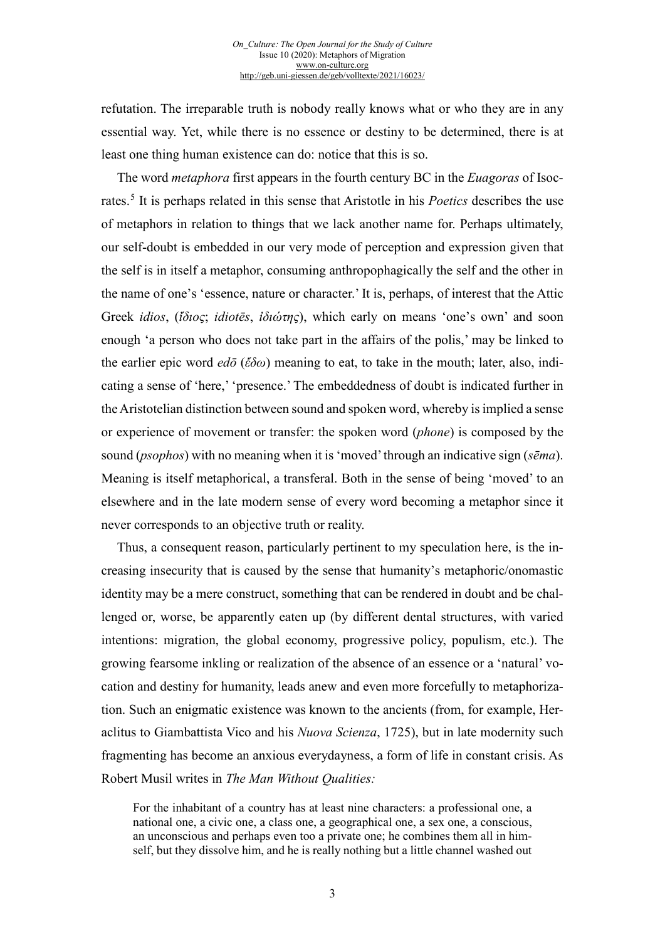refutation. The irreparable truth is nobody really knows what or who they are in any essential way. Yet, while there is no essence or destiny to be determined, there is at least one thing human existence can do: notice that this is so.

The word *metaphora* first appears in the fourth century BC in the *Euagoras* of Isocrates.[5](#page-6-0) It is perhaps related in this sense that Aristotle in his *Poetics* describes the use of metaphors in relation to things that we lack another name for. Perhaps ultimately, our self-doubt is embedded in our very mode of perception and expression given that the self is in itself a metaphor, consuming anthropophagically the self and the other in the name of one's 'essence, nature or character.' It is, perhaps, of interest that the Attic Greek *idios*, (*ἴδιος*; *idiotēs*, *ἰδιώτης*), which early on means 'one's own' and soon enough 'a person who does not take part in the affairs of the polis,' may be linked to the earlier epic word *edō* (*ἔδω*) meaning to eat, to take in the mouth; later, also, indicating a sense of 'here,' 'presence.' The embeddedness of doubt is indicated further in the Aristotelian distinction between sound and spoken word, whereby is implied a sense or experience of movement or transfer: the spoken word (*phone*) is composed by the sound (*psophos*) with no meaning when it is 'moved' through an indicative sign (*sēma*). Meaning is itself metaphorical, a transferal. Both in the sense of being 'moved' to an elsewhere and in the late modern sense of every word becoming a metaphor since it never corresponds to an objective truth or reality.

Thus, a consequent reason, particularly pertinent to my speculation here, is the increasing insecurity that is caused by the sense that humanity's metaphoric/onomastic identity may be a mere construct, something that can be rendered in doubt and be challenged or, worse, be apparently eaten up (by different dental structures, with varied intentions: migration, the global economy, progressive policy, populism, etc.). The growing fearsome inkling or realization of the absence of an essence or a 'natural' vocation and destiny for humanity, leads anew and even more forcefully to metaphorization. Such an enigmatic existence was known to the ancients (from, for example, Heraclitus to Giambattista Vico and his *Nuova Scienza*, 1725), but in late modernity such fragmenting has become an anxious everydayness, a form of life in constant crisis. As Robert Musil writes in *The Man Without Qualities:* 

For the inhabitant of a country has at least nine characters: a professional one, a national one, a civic one, a class one, a geographical one, a sex one, a conscious, an unconscious and perhaps even too a private one; he combines them all in himself, but they dissolve him, and he is really nothing but a little channel washed out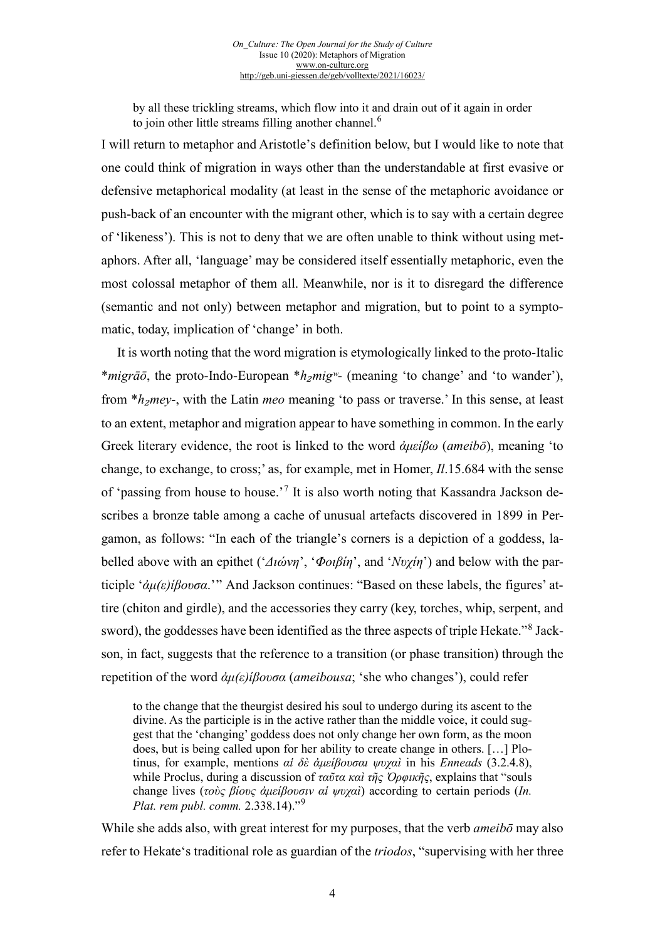by all these trickling streams, which flow into it and drain out of it again in order to join other little streams filling another channel.<sup>[6](#page-7-0)</sup>

I will return to metaphor and Aristotle's definition below, but I would like to note that one could think of migration in ways other than the understandable at first evasive or defensive metaphorical modality (at least in the sense of the metaphoric avoidance or push-back of an encounter with the migrant other, which is to say with a certain degree of 'likeness'). This is not to deny that we are often unable to think without using metaphors. After all, 'language' may be considered itself essentially metaphoric, even the most colossal metaphor of them all. Meanwhile, nor is it to disregard the difference (semantic and not only) between metaphor and migration, but to point to a symptomatic, today, implication of 'change' in both.

It is worth noting that the word migration is etymologically linked to the proto-Italic \**migrāō*, the proto-Indo-European \**h*₂*migʷ*- (meaning 'to change' and 'to wander'), from \**h*<sub>2</sub>*mey*-, with the Latin *meo* meaning 'to pass or traverse.' In this sense, at least to an extent, metaphor and migration appear to have something in common. In the early Greek literary evidence, the root is linked to the word *ἀμείβω* (*ameibō*), meaning 'to change, to exchange, to cross;' as, for example, met in Homer, *Il*.15.684 with the sense of 'passing from house to house.'[7](#page-7-1) It is also worth noting that Kassandra Jackson describes a bronze table among a cache of unusual artefacts discovered in 1899 in Pergamon, as follows: "In each of the triangle's corners is a depiction of a goddess, labelled above with an epithet ('*Διώνη*', '*Φοιβίη*', and '*Νυχίη*') and below with the participle '*ἀμ(ε)ίβουσα*.'" And Jackson continues: "Based on these labels, the figures' attire (chiton and girdle), and the accessories they carry (key, torches, whip, serpent, and sword), the goddesses have been identified as the three aspects of triple Hekate."[8](#page-7-2) Jackson, in fact, suggests that the reference to a transition (or phase transition) through the repetition of the word *ἀμ(ε)ίβουσα* (*ameibousa*; 'she who changes'), could refer

to the change that the theurgist desired his soul to undergo during its ascent to the divine. As the participle is in the active rather than the middle voice, it could suggest that the 'changing' goddess does not only change her own form, as the moon does, but is being called upon for her ability to create change in others. […] Plotinus, for example, mentions *αἱ δὲ ἀμείβουσαι ψυχαὶ* in his *Enneads* (3.2.4.8), while Proclus, during a discussion of *ταῦτα καὶ τῆς Ὀρφικῆς*, explains that "souls change lives (*τοὺς βίους ἀμείβουσιν αἱ ψυχαὶ*) according to certain periods (*In. Plat. rem publ. comm.* 2.338.14)."[9](#page-7-3)

While she adds also, with great interest for my purposes, that the verb *ameibō* may also refer to Hekate's traditional role as guardian of the *triodos*, "supervising with her three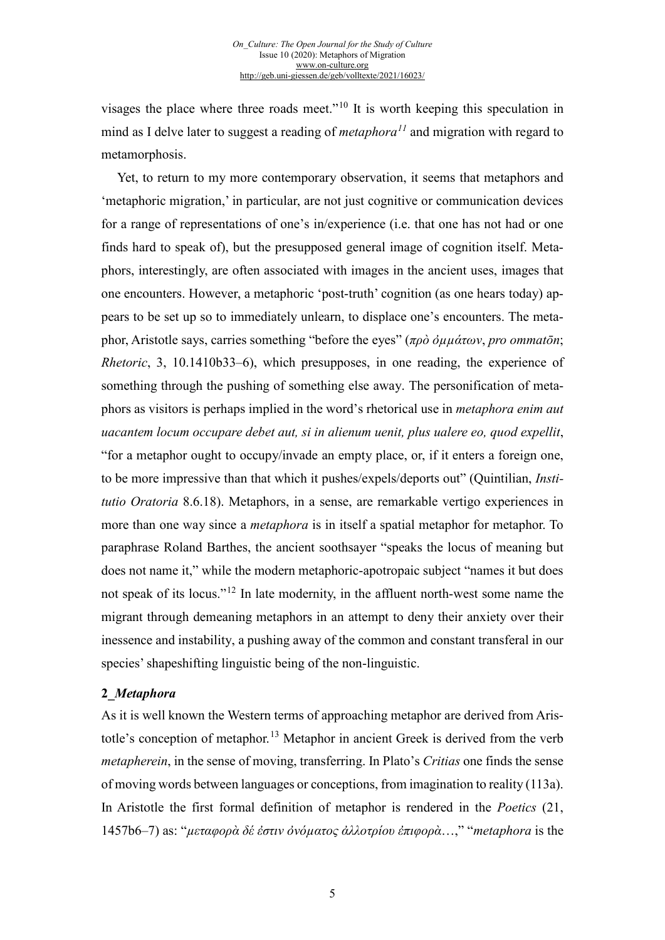visages the place where three roads meet."[10](#page-8-0) It is worth keeping this speculation in mind as I delve later to suggest a reading of *metaphora[11](#page-8-1)* and migration with regard to metamorphosis.

Yet, to return to my more contemporary observation, it seems that metaphors and 'metaphoric migration,' in particular, are not just cognitive or communication devices for a range of representations of one's in/experience (i.e. that one has not had or one finds hard to speak of), but the presupposed general image of cognition itself. Metaphors, interestingly, are often associated with images in the ancient uses, images that one encounters. However, a metaphoric 'post-truth' cognition (as one hears today) appears to be set up so to immediately unlearn, to displace one's encounters. The metaphor, Aristotle says, carries something "before the eyes" (*πρὸ ὀµµάτων*, *pro ommatōn*; *Rhetoric*, 3, 10.1410b33–6), which presupposes, in one reading, the experience of something through the pushing of something else away. The personification of metaphors as visitors is perhaps implied in the word's rhetorical use in *metaphora enim aut uacantem locum occupare debet aut, si in alienum uenit, plus ualere eo, quod expellit*, "for a metaphor ought to occupy/invade an empty place, or, if it enters a foreign one, to be more impressive than that which it pushes/expels/deports out" (Quintilian, *Institutio Oratoria* 8.6.18). Metaphors, in a sense, are remarkable vertigo experiences in more than one way since a *metaphora* is in itself a spatial metaphor for metaphor. To paraphrase Roland Barthes, the ancient soothsayer "speaks the locus of meaning but does not name it," while the modern metaphoric-apotropaic subject "names it but does not speak of its locus."<sup>[12](#page-8-2)</sup> In late modernity, in the affluent north-west some name the migrant through demeaning metaphors in an attempt to deny their anxiety over their inessence and instability, a pushing away of the common and constant transferal in our species' shapeshifting linguistic being of the non-linguistic.

#### **2\_***Metaphora*

As it is well known the Western terms of approaching metaphor are derived from Aris-totle's conception of metaphor.<sup>[13](#page-8-3)</sup> Metaphor in ancient Greek is derived from the verb *metapherein*, in the sense of moving, transferring. In Plato's *Critias* one finds the sense of moving words between languages or conceptions, from imagination to reality (113a). In Aristotle the first formal definition of metaphor is rendered in the *Poetics* (21, 1457b6–7) as: "*µεταφορὰ δέ ἐστιν ὀνόµατος ἀλλοτρίου ἐπιφορὰ*…," "*metaphora* is the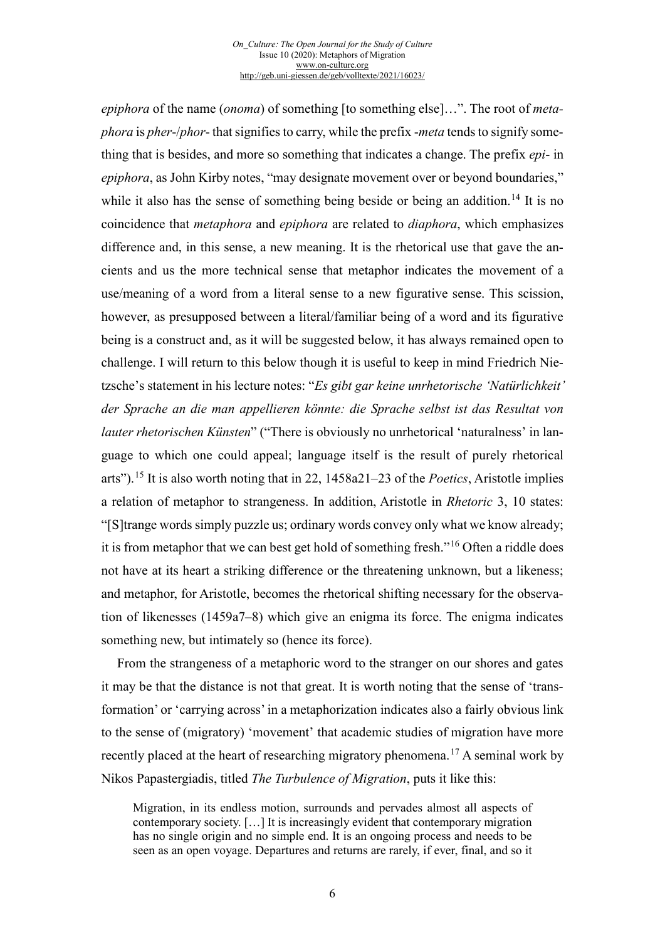#### *On\_Culture: The Open Journal for the Study of Culture* Issue 10 (2020): Metaphors of Migration [www.on-culture.org](http://www.on-culture.org/) <http://geb.uni-giessen.de/geb/volltexte/2021/16023/>

<span id="page-5-3"></span><span id="page-5-2"></span><span id="page-5-1"></span><span id="page-5-0"></span>*epiphora* of the name (*onoma*) of something [to something else]…". The root of *metaphora* is *pher*-/*phor*- that signifies to carry, while the prefix -*meta* tends to signify something that is besides, and more so something that indicates a change. The prefix *epi*- in *epiphora*, as John Kirby notes, "may designate movement over or beyond boundaries," while it also has the sense of something being beside or being an addition.<sup>[14](#page-9-0)</sup> It is no coincidence that *metaphora* and *epiphora* are related to *diaphora*, which emphasizes difference and, in this sense, a new meaning. It is the rhetorical use that gave the ancients and us the more technical sense that metaphor indicates the movement of a use/meaning of a word from a literal sense to a new figurative sense. This scission, however, as presupposed between a literal/familiar being of a word and its figurative being is a construct and, as it will be suggested below, it has always remained open to challenge. I will return to this below though it is useful to keep in mind Friedrich Nietzsche's statement in his lecture notes: "*Es gibt gar keine unrhetorische 'Natürlichkeit' der Sprache an die man appellieren könnte: die Sprache selbst ist das Resultat von lauter rhetorischen Künsten*" ("There is obviously no unrhetorical 'naturalness' in language to which one could appeal; language itself is the result of purely rhetorical arts").[15](#page-9-1) It is also worth noting that in 22, 1458a21–23 of the *Poetics*, Aristotle implies a relation of metaphor to strangeness. In addition, Aristotle in *Rhetoric* 3, 10 states: "[S]trange words simply puzzle us; ordinary words convey only what we know already; it is from metaphor that we can best get hold of something fresh."[16](#page-9-2) Often a riddle does not have at its heart a striking difference or the threatening unknown, but a likeness; and metaphor, for Aristotle, becomes the rhetorical shifting necessary for the observation of likenesses (1459a7–8) which give an enigma its force. The enigma indicates something new, but intimately so (hence its force).

From the strangeness of a metaphoric word to the stranger on our shores and gates it may be that the distance is not that great. It is worth noting that the sense of 'transformation' or 'carrying across' in a metaphorization indicates also a fairly obvious link to the sense of (migratory) 'movement' that academic studies of migration have more recently placed at the heart of researching migratory phenomena.[17](#page-9-3) A seminal work by Nikos Papastergiadis, titled *The Turbulence of Migration*, puts it like this:

Migration, in its endless motion, surrounds and pervades almost all aspects of contemporary society. […] It is increasingly evident that contemporary migration has no single origin and no simple end. It is an ongoing process and needs to be seen as an open voyage. Departures and returns are rarely, if ever, final, and so it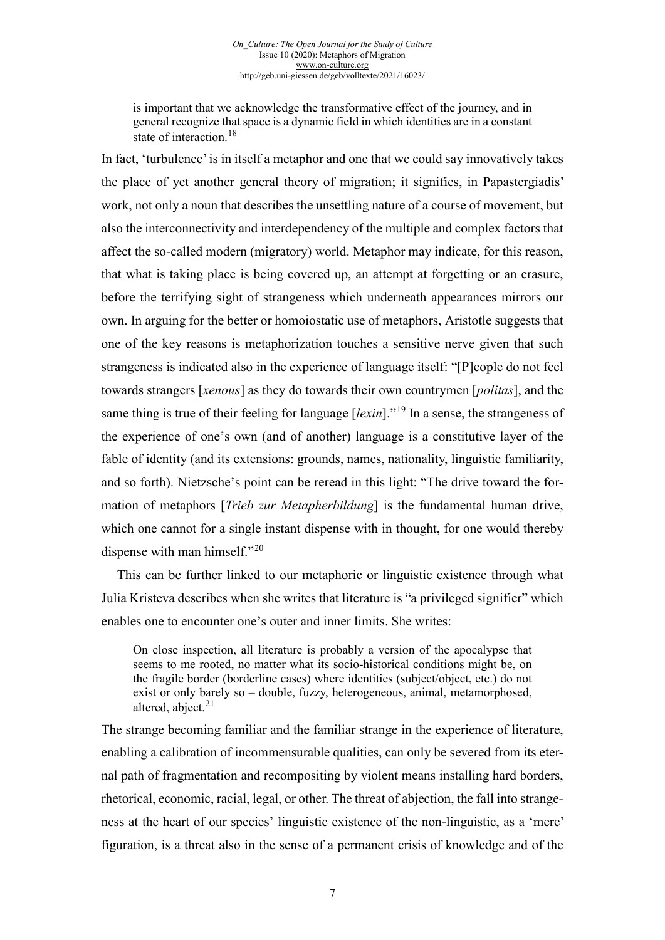is important that we acknowledge the transformative effect of the journey, and in general recognize that space is a dynamic field in which identities are in a constant state of interaction.<sup>[18](#page-10-0)</sup>

In fact, 'turbulence' is in itself a metaphor and one that we could say innovatively takes the place of yet another general theory of migration; it signifies, in Papastergiadis' work, not only a noun that describes the unsettling nature of a course of movement, but also the interconnectivity and interdependency of the multiple and complex factors that affect the so-called modern (migratory) world. Metaphor may indicate, for this reason, that what is taking place is being covered up, an attempt at forgetting or an erasure, before the terrifying sight of strangeness which underneath appearances mirrors our own. In arguing for the better or homoiostatic use of metaphors, Aristotle suggests that one of the key reasons is metaphorization touches a sensitive nerve given that such strangeness is indicated also in the experience of language itself: "[P]eople do not feel towards strangers [*xenous*] as they do towards their own countrymen [*politas*], and the same thing is true of their feeling for language [*lexin*]."[19](#page-10-1) In a sense, the strangeness of the experience of one's own (and of another) language is a constitutive layer of the fable of identity (and its extensions: grounds, names, nationality, linguistic familiarity, and so forth). Nietzsche's point can be reread in this light: "The drive toward the formation of metaphors [*Trieb zur Metapherbildung*] is the fundamental human drive, which one cannot for a single instant dispense with in thought, for one would thereby dispense with man himself."<sup>[20](#page-10-2)</sup>

<span id="page-6-0"></span>This can be further linked to our metaphoric or linguistic existence through what Julia Kristeva describes when she writes that literature is "a privileged signifier" which enables one to encounter one's outer and inner limits. She writes:

On close inspection, all literature is probably a version of the apocalypse that seems to me rooted, no matter what its socio-historical conditions might be, on the fragile border (borderline cases) where identities (subject/object, etc.) do not exist or only barely so – double, fuzzy, heterogeneous, animal, metamorphosed, altered, abject. $21$ 

The strange becoming familiar and the familiar strange in the experience of literature, enabling a calibration of incommensurable qualities, can only be severed from its eternal path of fragmentation and recompositing by violent means installing hard borders, rhetorical, economic, racial, legal, or other. The threat of abjection, the fall into strangeness at the heart of our species' linguistic existence of the non-linguistic, as a 'mere' figuration, is a threat also in the sense of a permanent crisis of knowledge and of the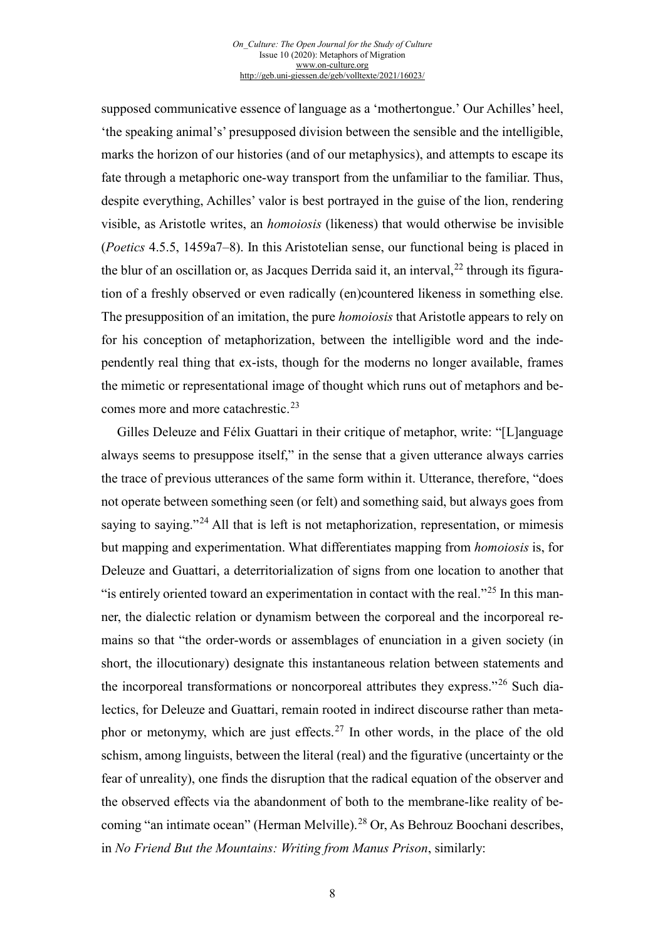supposed communicative essence of language as a 'mothertongue.' Our Achilles' heel, 'the speaking animal's' presupposed division between the sensible and the intelligible, marks the horizon of our histories (and of our metaphysics), and attempts to escape its fate through a metaphoric one-way transport from the unfamiliar to the familiar. Thus, despite everything, Achilles' valor is best portrayed in the guise of the lion, rendering visible, as Aristotle writes, an *homoiosis* (likeness) that would otherwise be invisible (*Poetics* 4.5.5, 1459a7–8). In this Aristotelian sense, our functional being is placed in the blur of an oscillation or, as Jacques Derrida said it, an interval,<sup>[22](#page-11-0)</sup> through its figuration of a freshly observed or even radically (en)countered likeness in something else. The presupposition of an imitation, the pure *homoiosis* that Aristotle appears to rely on for his conception of metaphorization, between the intelligible word and the independently real thing that ex-ists, though for the moderns no longer available, frames the mimetic or representational image of thought which runs out of metaphors and be-comes more and more catachrestic.<sup>[23](#page-11-1)</sup>

<span id="page-7-3"></span><span id="page-7-2"></span><span id="page-7-1"></span><span id="page-7-0"></span>Gilles Deleuze and Félix Guattari in their critique of metaphor, write: "[L]anguage always seems to presuppose itself," in the sense that a given utterance always carries the trace of previous utterances of the same form within it. Utterance, therefore, "does not operate between something seen (or felt) and something said, but always goes from saying to saying."<sup>[24](#page-11-2)</sup> All that is left is not metaphorization, representation, or mimesis but mapping and experimentation. What differentiates mapping from *homoiosis* is, for Deleuze and Guattari, a deterritorialization of signs from one location to another that "is entirely oriented toward an experimentation in contact with the real."[25](#page-11-3) In this manner, the dialectic relation or dynamism between the corporeal and the incorporeal remains so that "the order-words or assemblages of enunciation in a given society (in short, the illocutionary) designate this instantaneous relation between statements and the incorporeal transformations or noncorporeal attributes they express."[26](#page-11-4) Such dialectics, for Deleuze and Guattari, remain rooted in indirect discourse rather than meta-phor or metonymy, which are just effects.<sup>[27](#page-11-5)</sup> In other words, in the place of the old schism, among linguists, between the literal (real) and the figurative (uncertainty or the fear of unreality), one finds the disruption that the radical equation of the observer and the observed effects via the abandonment of both to the membrane-like reality of be-coming "an intimate ocean" (Herman Melville).<sup>[28](#page-11-6)</sup> Or, As Behrouz Boochani describes, in *No Friend But the Mountains: Writing from Manus Prison*, similarly: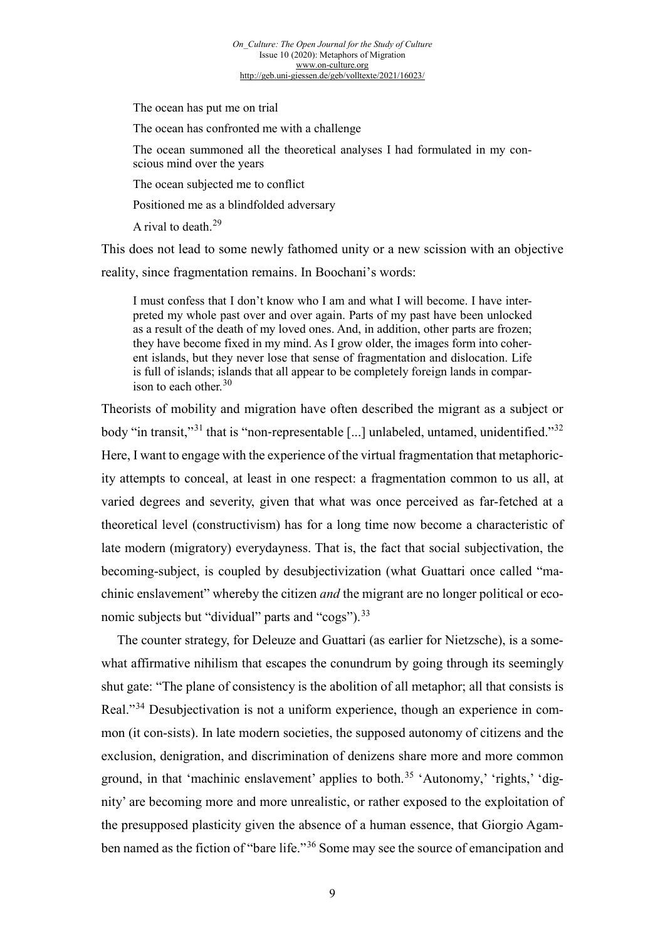The ocean has put me on trial

The ocean has confronted me with a challenge

The ocean summoned all the theoretical analyses I had formulated in my conscious mind over the years

The ocean subjected me to conflict

Positioned me as a blindfolded adversary

A rival to death.<sup>[29](#page-12-0)</sup>

This does not lead to some newly fathomed unity or a new scission with an objective reality, since fragmentation remains. In Boochani's words:

I must confess that I don't know who I am and what I will become. I have interpreted my whole past over and over again. Parts of my past have been unlocked as a result of the death of my loved ones. And, in addition, other parts are frozen; they have become fixed in my mind. As I grow older, the images form into coherent islands, but they never lose that sense of fragmentation and dislocation. Life is full of islands; islands that all appear to be completely foreign lands in compar-ison to each other.<sup>[30](#page-12-1)</sup>

Theorists of mobility and migration have often described the migrant as a subject or body "in transit,"<sup>[31](#page-12-2)</sup> that is "non-representable [...] unlabeled, untamed, unidentified."<sup>[32](#page-12-3)</sup> Here, I want to engage with the experience of the virtual fragmentation that metaphoricity attempts to conceal, at least in one respect: a fragmentation common to us all, at varied degrees and severity, given that what was once perceived as far-fetched at a theoretical level (constructivism) has for a long time now become a characteristic of late modern (migratory) everydayness. That is, the fact that social subjectivation, the becoming-subject, is coupled by desubjectivization (what Guattari once called "machinic enslavement" whereby the citizen *and* the migrant are no longer political or eco-nomic subjects but "dividual" parts and "cogs").<sup>[33](#page-12-4)</sup>

<span id="page-8-3"></span><span id="page-8-2"></span><span id="page-8-1"></span><span id="page-8-0"></span>The counter strategy, for Deleuze and Guattari (as earlier for Nietzsche), is a somewhat affirmative nihilism that escapes the conundrum by going through its seemingly shut gate: "The plane of consistency is the abolition of all metaphor; all that consists is Real."[34](#page-12-5) Desubjectivation is not a uniform experience, though an experience in common (it con-sists). In late modern societies, the supposed autonomy of citizens and the exclusion, denigration, and discrimination of denizens share more and more common ground, in that 'machinic enslavement' applies to both.<sup>[35](#page-12-6)</sup> 'Autonomy,' 'rights,' 'dignity' are becoming more and more unrealistic, or rather exposed to the exploitation of the presupposed plasticity given the absence of a human essence, that Giorgio Agam-ben named as the fiction of "bare life."<sup>[36](#page-12-7)</sup> Some may see the source of emancipation and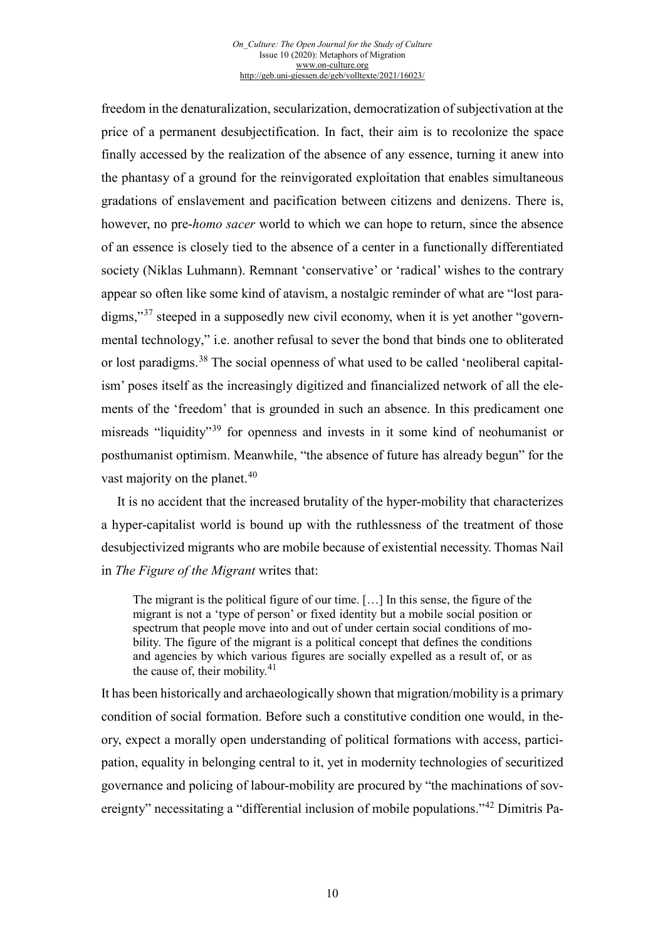<span id="page-9-3"></span><span id="page-9-2"></span>freedom in the denaturalization, secularization, democratization of subjectivation at the price of a permanent desubjectification. In fact, their aim is to recolonize the space finally accessed by the realization of the absence of any essence, turning it anew into the phantasy of a ground for the reinvigorated exploitation that enables simultaneous gradations of enslavement and pacification between citizens and denizens. There is, however, no pre-*homo sacer* world to which we can hope to return, since the absence of an essence is closely tied to the absence of a center in a functionally differentiated society (Niklas Luhmann). Remnant 'conservative' or 'radical' wishes to the contrary appear so often like some kind of atavism, a nostalgic reminder of what are "lost paradigms,"[37](#page-13-0) steeped in a supposedly new civil economy, when it is yet another "governmental technology," i.e. another refusal to sever the bond that binds one to obliterated or lost paradigms. [38](#page-13-1) The social openness of what used to be called 'neoliberal capitalism' poses itself as the increasingly digitized and financialized network of all the elements of the 'freedom' that is grounded in such an absence. In this predicament one misreads "liquidity"[39](#page-13-2) for openness and invests in it some kind of neohumanist or posthumanist optimism. Meanwhile, "the absence of future has already begun" for the vast majority on the planet.<sup>[40](#page-13-3)</sup>

It is no accident that the increased brutality of the hyper-mobility that characterizes a hyper-capitalist world is bound up with the ruthlessness of the treatment of those desubjectivized migrants who are mobile because of existential necessity. Thomas Nail in *The Figure of the Migrant* writes that:

The migrant is the political figure of our time. […] In this sense, the figure of the migrant is not a 'type of person' or fixed identity but a mobile social position or spectrum that people move into and out of under certain social conditions of mobility. The figure of the migrant is a political concept that defines the conditions and agencies by which various figures are socially expelled as a result of, or as the cause of, their mobility. $41$ 

<span id="page-9-1"></span><span id="page-9-0"></span>It has been historically and archaeologically shown that migration/mobility is a primary condition of social formation. Before such a constitutive condition one would, in theory, expect a morally open understanding of political formations with access, participation, equality in belonging central to it, yet in modernity technologies of securitized governance and policing of labour-mobility are procured by "the machinations of sovereignty" necessitating a "differential inclusion of mobile populations."[42](#page-13-5) Dimitris Pa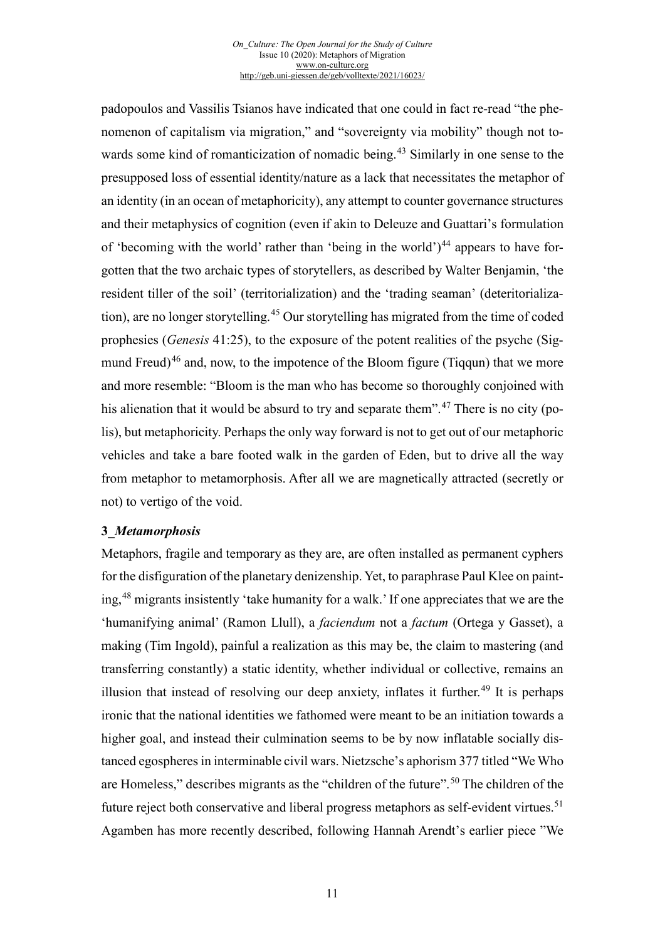<span id="page-10-0"></span>padopoulos and Vassilis Tsianos have indicated that one could in fact re-read "the phenomenon of capitalism via migration," and "sovereignty via mobility" though not towards some kind of romanticization of nomadic being. [43](#page-14-0) Similarly in one sense to the presupposed loss of essential identity/nature as a lack that necessitates the metaphor of an identity (in an ocean of metaphoricity), any attempt to counter governance structures and their metaphysics of cognition (even if akin to Deleuze and Guattari's formulation of 'becoming with the world' rather than 'being in the world' $)^{44}$  $)^{44}$  $)^{44}$  appears to have forgotten that the two archaic types of storytellers, as described by Walter Benjamin, 'the resident tiller of the soil' (territorialization) and the 'trading seaman' (deteritorialization), are no longer storytelling.[45](#page-14-2) Our storytelling has migrated from the time of coded prophesies (*Genesis* 41:25), to the exposure of the potent realities of the psyche (Sig-mund Freud)<sup>[46](#page-14-3)</sup> and, now, to the impotence of the Bloom figure (Tiqqun) that we more and more resemble: "Bloom is the man who has become so thoroughly conjoined with his alienation that it would be absurd to try and separate them".<sup>[47](#page-14-4)</sup> There is no city (polis), but metaphoricity. Perhaps the only way forward is not to get out of our metaphoric vehicles and take a bare footed walk in the garden of Eden, but to drive all the way from metaphor to metamorphosis. After all we are magnetically attracted (secretly or not) to vertigo of the void.

#### <span id="page-10-3"></span><span id="page-10-2"></span><span id="page-10-1"></span>**3\_***Metamorphosis*

Metaphors, fragile and temporary as they are, are often installed as permanent cyphers for the disfiguration of the planetary denizenship. Yet, to paraphrase Paul Klee on painting,[48](#page-14-5) migrants insistently 'take humanity for a walk.' If one appreciates that we are the 'humanifying animal' (Ramon Llull), a *faciendum* not a *factum* (Ortega y Gasset), a making (Tim Ingold), painful a realization as this may be, the claim to mastering (and transferring constantly) a static identity, whether individual or collective, remains an illusion that instead of resolving our deep anxiety, inflates it further.<sup>[49](#page-14-6)</sup> It is perhaps ironic that the national identities we fathomed were meant to be an initiation towards a higher goal, and instead their culmination seems to be by now inflatable socially distanced egospheres in interminable civil wars. Nietzsche's aphorism 377 titled "We Who are Homeless," describes migrants as the "children of the future".[50](#page-14-7) The children of the future reject both conservative and liberal progress metaphors as self-evident virtues.<sup>[51](#page-14-8)</sup> Agamben has more recently described, following Hannah Arendt's earlier piece "We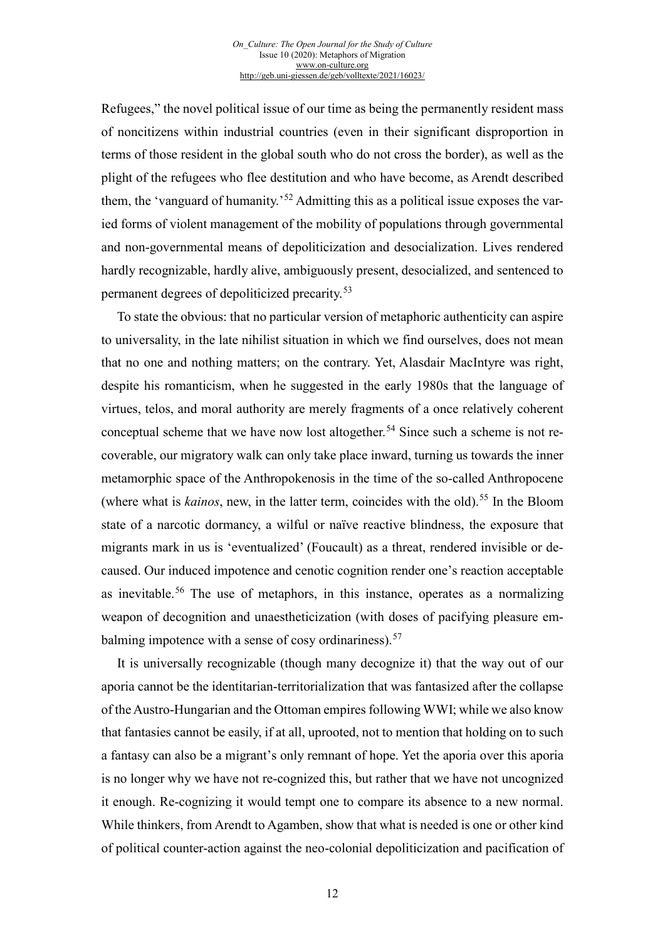Refugees," the novel political issue of our time as being the permanently resident mass of noncitizens within industrial countries (even in their significant disproportion in terms of those resident in the global south who do not cross the border), as well as the plight of the refugees who flee destitution and who have become, as Arendt described them, the 'vanguard of humanity.'<sup>[52](#page-15-0)</sup> Admitting this as a political issue exposes the varied forms of violent management of the mobility of populations through governmental and non-governmental means of depoliticization and desocialization. Lives rendered hardly recognizable, hardly alive, ambiguously present, desocialized, and sentenced to permanent degrees of depoliticized precarity.[53](#page-15-1)

<span id="page-11-0"></span>To state the obvious: that no particular version of metaphoric authenticity can aspire to universality, in the late nihilist situation in which we find ourselves, does not mean that no one and nothing matters; on the contrary. Yet, Alasdair MacIntyre was right, despite his romanticism, when he suggested in the early 1980s that the language of virtues, telos, and moral authority are merely fragments of a once relatively coherent conceptual scheme that we have now lost altogether.<sup>[54](#page-15-2)</sup> Since such a scheme is not recoverable, our migratory walk can only take place inward, turning us towards the inner metamorphic space of the Anthropokenosis in the time of the so-called Anthropocene (where what is *kainos*, new, in the latter term, coincides with the old).<sup>[55](#page-15-3)</sup> In the Bloom state of a narcotic dormancy, a wilful or naïve reactive blindness, the exposure that migrants mark in us is 'eventualized' (Foucault) as a threat, rendered invisible or decaused. Our induced impotence and cenotic cognition render one's reaction acceptable as inevitable.[56](#page-15-4) The use of metaphors, in this instance, operates as a normalizing weapon of decognition and unaestheticization (with doses of pacifying pleasure em-balming impotence with a sense of cosy ordinariness).<sup>[57](#page-15-5)</sup>

<span id="page-11-6"></span><span id="page-11-5"></span><span id="page-11-4"></span><span id="page-11-3"></span><span id="page-11-2"></span><span id="page-11-1"></span>It is universally recognizable (though many decognize it) that the way out of our aporia cannot be the identitarian-territorialization that was fantasized after the collapse of the Austro-Hungarian and the Ottoman empires following WWI; while we also know that fantasies cannot be easily, if at all, uprooted, not to mention that holding on to such a fantasy can also be a migrant's only remnant of hope. Yet the aporia over this aporia is no longer why we have not re-cognized this, but rather that we have not uncognized it enough. Re-cognizing it would tempt one to compare its absence to a new normal. While thinkers, from Arendt to Agamben, show that what is needed is one or other kind of political counter-action against the neo-colonial depoliticization and pacification of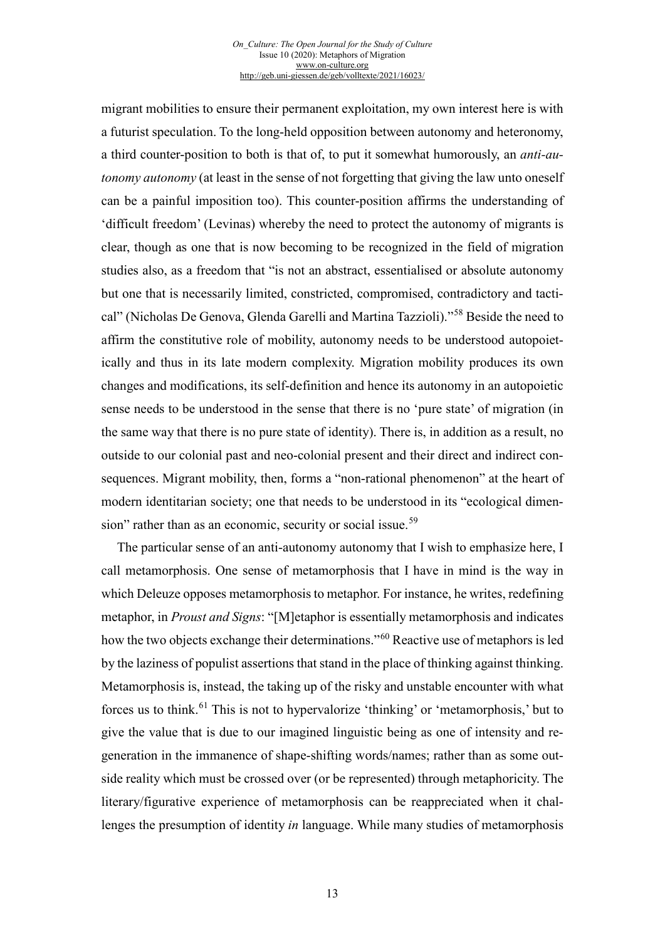<span id="page-12-7"></span><span id="page-12-6"></span>migrant mobilities to ensure their permanent exploitation, my own interest here is with a futurist speculation. To the long-held opposition between autonomy and heteronomy, a third counter-position to both is that of, to put it somewhat humorously, an *anti-autonomy autonomy* (at least in the sense of not forgetting that giving the law unto oneself can be a painful imposition too). This counter-position affirms the understanding of 'difficult freedom' (Levinas) whereby the need to protect the autonomy of migrants is clear, though as one that is now becoming to be recognized in the field of migration studies also, as a freedom that "is not an abstract, essentialised or absolute autonomy but one that is necessarily limited, constricted, compromised, contradictory and tactical" (Nicholas De Genova, Glenda Garelli and Martina Tazzioli)."[58](#page-16-0) Beside the need to affirm the constitutive role of mobility, autonomy needs to be understood autopoietically and thus in its late modern complexity. Migration mobility produces its own changes and modifications, its self-definition and hence its autonomy in an autopoietic sense needs to be understood in the sense that there is no 'pure state' of migration (in the same way that there is no pure state of identity). There is, in addition as a result, no outside to our colonial past and neo-colonial present and their direct and indirect consequences. Migrant mobility, then, forms a "non-rational phenomenon" at the heart of modern identitarian society; one that needs to be understood in its "ecological dimen-sion" rather than as an economic, security or social issue.<sup>[59](#page-16-1)</sup>

<span id="page-12-5"></span><span id="page-12-4"></span><span id="page-12-3"></span><span id="page-12-2"></span><span id="page-12-1"></span><span id="page-12-0"></span>The particular sense of an anti-autonomy autonomy that I wish to emphasize here, I call metamorphosis. One sense of metamorphosis that I have in mind is the way in which Deleuze opposes metamorphosis to metaphor. For instance, he writes, redefining metaphor, in *Proust and Signs*: "[M]etaphor is essentially metamorphosis and indicates how the two objects exchange their determinations."<sup>[60](#page-16-2)</sup> Reactive use of metaphors is led by the laziness of populist assertions that stand in the place of thinking against thinking. Metamorphosis is, instead, the taking up of the risky and unstable encounter with what forces us to think.<sup>[61](#page-16-3)</sup> This is not to hypervalorize 'thinking' or 'metamorphosis,' but to give the value that is due to our imagined linguistic being as one of intensity and regeneration in the immanence of shape-shifting words/names; rather than as some outside reality which must be crossed over (or be represented) through metaphoricity. The literary/figurative experience of metamorphosis can be reappreciated when it challenges the presumption of identity *in* language. While many studies of metamorphosis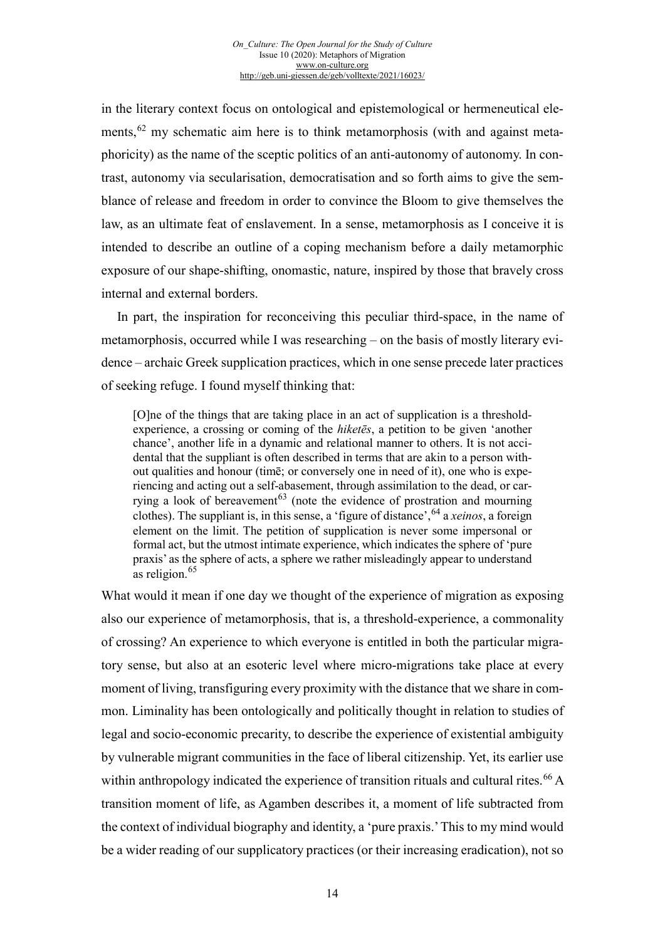<span id="page-13-0"></span>in the literary context focus on ontological and epistemological or hermeneutical elements,  $62$  my schematic aim here is to think metamorphosis (with and against metaphoricity) as the name of the sceptic politics of an anti-autonomy of autonomy. In contrast, autonomy via secularisation, democratisation and so forth aims to give the semblance of release and freedom in order to convince the Bloom to give themselves the law, as an ultimate feat of enslavement. In a sense, metamorphosis as I conceive it is intended to describe an outline of a coping mechanism before a daily metamorphic exposure of our shape-shifting, onomastic, nature, inspired by those that bravely cross internal and external borders.

<span id="page-13-2"></span><span id="page-13-1"></span>In part, the inspiration for reconceiving this peculiar third-space, in the name of metamorphosis, occurred while I was researching – on the basis of mostly literary evidence – archaic Greek supplication practices, which in one sense precede later practices of seeking refuge. I found myself thinking that:

<span id="page-13-5"></span><span id="page-13-4"></span><span id="page-13-3"></span>[O]ne of the things that are taking place in an act of supplication is a thresholdexperience, a crossing or coming of the *hiketēs*, a petition to be given 'another chance', another life in a dynamic and relational manner to others. It is not accidental that the suppliant is often described in terms that are akin to a person without qualities and honour (timē; or conversely one in need of it), one who is experiencing and acting out a self-abasement, through assimilation to the dead, or car-rying a look of bereavement<sup>[63](#page-17-1)</sup> (note the evidence of prostration and mourning clothes). The suppliant is, in this sense, a 'figure of distance', <sup>[64](#page-17-2)</sup> a *xeinos*, a foreign element on the limit. The petition of supplication is never some impersonal or formal act, but the utmost intimate experience, which indicates the sphere of 'pure praxis' as the sphere of acts, a sphere we rather misleadingly appear to understand as religion. $65$ 

What would it mean if one day we thought of the experience of migration as exposing also our experience of metamorphosis, that is, a threshold-experience, a commonality of crossing? An experience to which everyone is entitled in both the particular migratory sense, but also at an esoteric level where micro-migrations take place at every moment of living, transfiguring every proximity with the distance that we share in common. Liminality has been ontologically and politically thought in relation to studies of legal and socio-economic precarity, to describe the experience of existential ambiguity by vulnerable migrant communities in the face of liberal citizenship. Yet, its earlier use within anthropology indicated the experience of transition rituals and cultural rites.<sup>[66](#page-17-4)</sup> A transition moment of life, as Agamben describes it, a moment of life subtracted from the context of individual biography and identity, a 'pure praxis.' This to my mind would be a wider reading of our supplicatory practices (or their increasing eradication), not so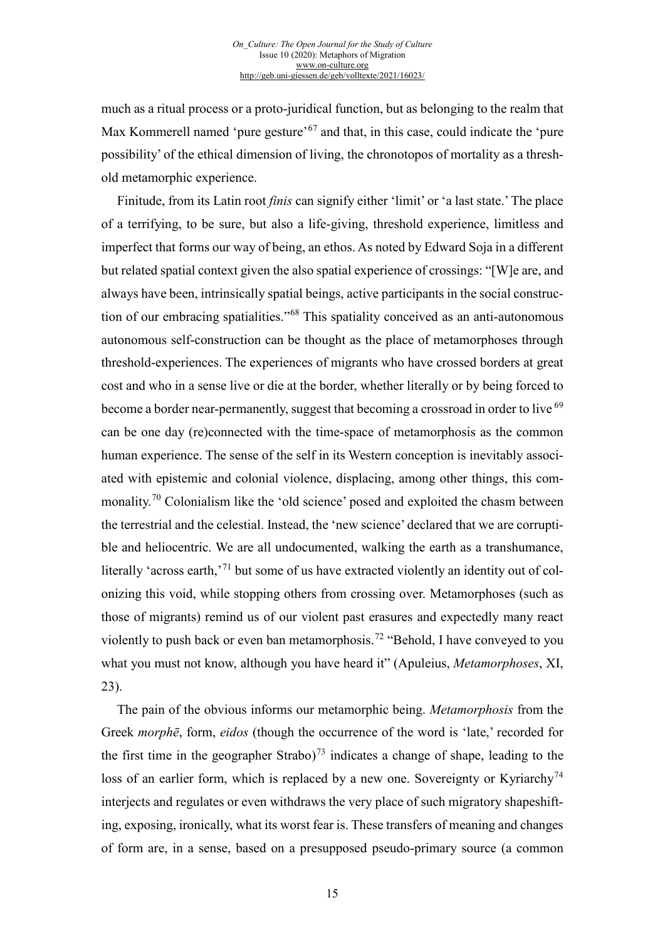<span id="page-14-7"></span>much as a ritual process or a proto-juridical function, but as belonging to the realm that Max Kommerell named 'pure gesture'<sup>[67](#page-18-0)</sup> and that, in this case, could indicate the 'pure possibility' of the ethical dimension of living, the chronotopos of mortality as a threshold metamorphic experience.

<span id="page-14-8"></span>Finitude, from its Latin root *finis* can signify either 'limit' or 'a last state.' The place of a terrifying, to be sure, but also a life-giving, threshold experience, limitless and imperfect that forms our way of being, an ethos. As noted by Edward Soja in a different but related spatial context given the also spatial experience of crossings: "[W]e are, and always have been, intrinsically spatial beings, active participants in the social construction of our embracing spatialities."[68](#page-18-1) This spatiality conceived as an anti-autonomous autonomous self-construction can be thought as the place of metamorphoses through threshold-experiences. The experiences of migrants who have crossed borders at great cost and who in a sense live or die at the border, whether literally or by being forced to become a border near-permanently, suggest that becoming a crossroad in order to live <sup>[69](#page-18-2)</sup> can be one day (re)connected with the time-space of metamorphosis as the common human experience. The sense of the self in its Western conception is inevitably associated with epistemic and colonial violence, displacing, among other things, this commonality.[70](#page-18-3) Colonialism like the 'old science' posed and exploited the chasm between the terrestrial and the celestial. Instead, the 'new science' declared that we are corruptible and heliocentric. We are all undocumented, walking the earth as a transhumance, literally 'across earth,'<sup>[71](#page-18-4)</sup> but some of us have extracted violently an identity out of colonizing this void, while stopping others from crossing over. Metamorphoses (such as those of migrants) remind us of our violent past erasures and expectedly many react violently to push back or even ban metamorphosis.<sup>[72](#page-18-5)</sup> "Behold, I have conveyed to you what you must not know, although you have heard it" (Apuleius, *Metamorphoses*, XI, 23).

<span id="page-14-6"></span><span id="page-14-5"></span><span id="page-14-4"></span><span id="page-14-3"></span><span id="page-14-2"></span><span id="page-14-1"></span><span id="page-14-0"></span>The pain of the obvious informs our metamorphic being. *Metamorphosis* from the Greek *morphē*, form, *eidos* (though the occurrence of the word is 'late,' recorded for the first time in the geographer Strabo)<sup>[73](#page-18-6)</sup> indicates a change of shape, leading to the loss of an earlier form, which is replaced by a new one. Sovereignty or Kyriarchy<sup>[74](#page-18-7)</sup> interjects and regulates or even withdraws the very place of such migratory shapeshifting, exposing, ironically, what its worst fear is. These transfers of meaning and changes of form are, in a sense, based on a presupposed pseudo-primary source (a common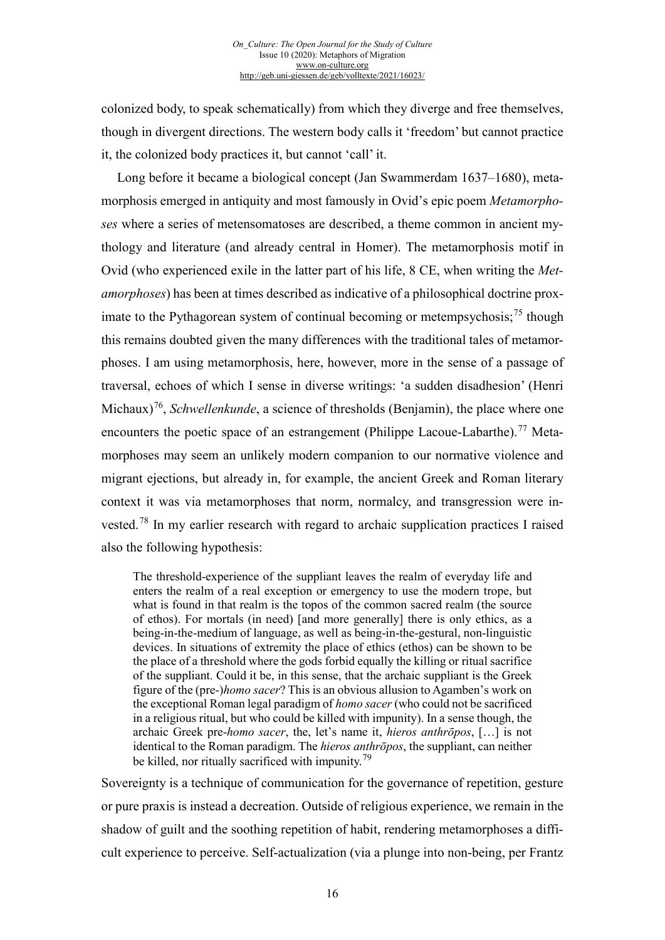colonized body, to speak schematically) from which they diverge and free themselves, though in divergent directions. The western body calls it 'freedom' but cannot practice it, the colonized body practices it, but cannot 'call' it.

<span id="page-15-3"></span><span id="page-15-2"></span><span id="page-15-1"></span><span id="page-15-0"></span>Long before it became a biological concept (Jan Swammerdam 1637–1680), metamorphosis emerged in antiquity and most famously in Ovid's epic poem *Metamorphoses* where a series of metensomatoses are described, a theme common in ancient mythology and literature (and already central in Homer). The metamorphosis motif in Ovid (who experienced exile in the latter part of his life, 8 CE, when writing the *Metamorphoses*) has been at times described as indicative of a philosophical doctrine prox-imate to the Pythagorean system of continual becoming or metempsychosis;<sup>[75](#page-19-0)</sup> though this remains doubted given the many differences with the traditional tales of metamorphoses. I am using metamorphosis, here, however, more in the sense of a passage of traversal, echoes of which I sense in diverse writings: 'a sudden disadhesion' (Henri Michaux)<sup>[76](#page-19-1)</sup>, *Schwellenkunde*, a science of thresholds (Benjamin), the place where one encounters the poetic space of an estrangement (Philippe Lacoue-Labarthe).<sup>[77](#page-19-2)</sup> Metamorphoses may seem an unlikely modern companion to our normative violence and migrant ejections, but already in, for example, the ancient Greek and Roman literary context it was via metamorphoses that norm, normalcy, and transgression were invested.[78](#page-19-3) In my earlier research with regard to archaic supplication practices I raised also the following hypothesis:

<span id="page-15-5"></span><span id="page-15-4"></span>The threshold-experience of the suppliant leaves the realm of everyday life and enters the realm of a real exception or emergency to use the modern trope, but what is found in that realm is the topos of the common sacred realm (the source of ethos). For mortals (in need) [and more generally] there is only ethics, as a being-in-the-medium of language, as well as being-in-the-gestural, non-linguistic devices. In situations of extremity the place of ethics (ethos) can be shown to be the place of a threshold where the gods forbid equally the killing or ritual sacrifice of the suppliant. Could it be, in this sense, that the archaic suppliant is the Greek figure of the (pre-)*homo sacer*? This is an obvious allusion to Agamben's work on the exceptional Roman legal paradigm of *homo sacer* (who could not be sacrificed in a religious ritual, but who could be killed with impunity). In a sense though, the archaic Greek pre-*homo sacer*, the, let's name it, *hieros anthrōpos*, […] is not identical to the Roman paradigm. The *hieros anthrōpos*, the suppliant, can neither be killed, nor ritually sacrificed with impunity.<sup>[79](#page-19-4)</sup>

Sovereignty is a technique of communication for the governance of repetition, gesture or pure praxis is instead a decreation. Outside of religious experience, we remain in the shadow of guilt and the soothing repetition of habit, rendering metamorphoses a difficult experience to perceive. Self-actualization (via a plunge into non-being, per Frantz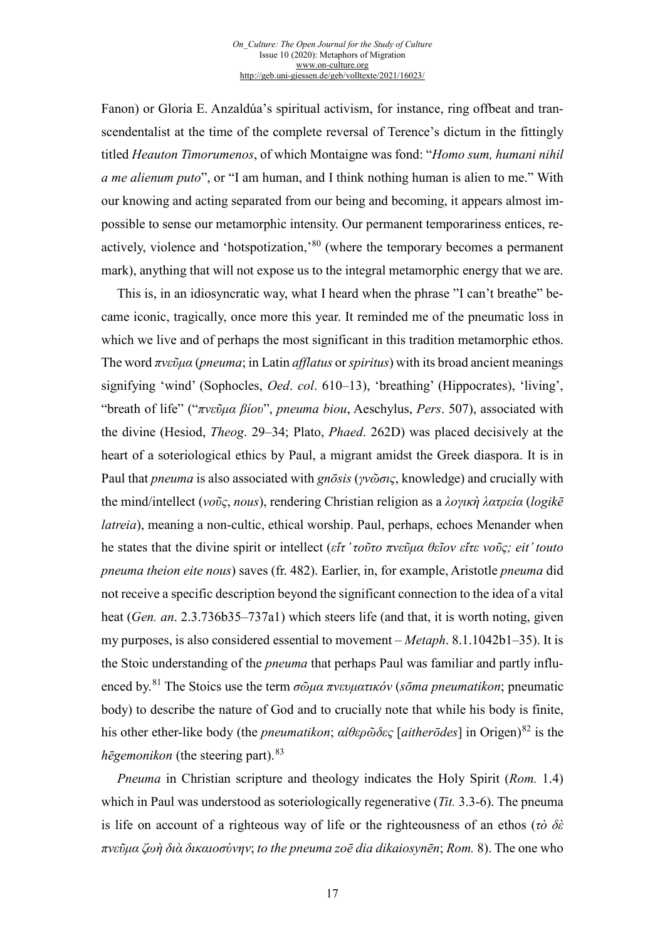Fanon) or Gloria E. Anzaldúa's spiritual activism, for instance, ring offbeat and transcendentalist at the time of the complete reversal of Terence's dictum in the fittingly titled *Heauton Timorumenos*, of which Montaigne was fond: "*Homo sum, humani nihil a me alienum puto*", or "I am human, and I think nothing human is alien to me." With our knowing and acting separated from our being and becoming, it appears almost impossible to sense our metamorphic intensity. Our permanent temporariness entices, re-actively, violence and 'hotspotization,'[80](#page-20-0) (where the temporary becomes a permanent mark), anything that will not expose us to the integral metamorphic energy that we are.

This is, in an idiosyncratic way, what I heard when the phrase "I can't breathe" became iconic, tragically, once more this year. It reminded me of the pneumatic loss in which we live and of perhaps the most significant in this tradition metamorphic ethos. The word *πνεῦμα* (*pneuma*; in Latin *afflatus* or *spiritus*) with its broad ancient meanings signifying 'wind' (Sophocles, *Oed*. *col*. 610–13), 'breathing' (Hippocrates), 'living', "breath of life" ("*πνεῦμα βίου*", *pneuma biou*, Aeschylus, *Pers*. 507), associated with the divine (Hesiod, *Theog*. 29–34; Plato, *Phaed*. 262D) was placed decisively at the heart of a soteriological ethics by Paul, a migrant amidst the Greek diaspora. It is in Paul that *pneuma* is also associated with *gnōsis* (*γνῶσις*, knowledge) and crucially with the mind/intellect (*νοῦς*, *nous*), rendering Christian religion as a *λογικὴ λατρεία* (*logikē latreia*), meaning a non-cultic, ethical worship. Paul, perhaps, echoes Menander when he states that the divine spirit or intellect (*εἴτ ̓τοῦτο πνεῦμα θεῖον εἴτε νοῦς; eit' touto pneuma theion eite nous*) saves (fr. 482). Earlier, in, for example, Aristotle *pneuma* did not receive a specific description beyond the significant connection to the idea of a vital heat (*Gen. an*. 2.3.736b35–737a1) which steers life (and that, it is worth noting, given my purposes, is also considered essential to movement – *Metaph*. 8.1.1042b1–35). It is the Stoic understanding of the *pneuma* that perhaps Paul was familiar and partly influenced by.[81](#page-20-1) The Stoics use the term *σῶμα πνευματικόν* (*sōma pneumatikon*; pneumatic body) to describe the nature of God and to crucially note that while his body is finite, his other ether-like body (the *pneumatikon*; *αἰθερῶδες* [*aitherōdes*] in Origen)[82](#page-20-2) is the *hēgemonikon* (the steering part).  $83$ 

<span id="page-16-3"></span><span id="page-16-2"></span><span id="page-16-1"></span><span id="page-16-0"></span>*Pneuma* in Christian scripture and theology indicates the Holy Spirit (*Rom.* 1.4) which in Paul was understood as soteriologically regenerative (*Tit.* 3.3-6). The pneuma is life on account of a righteous way of life or the righteousness of an ethos (*τὸ δὲ πνεῦμα ζωὴ διὰ δικαιοσύνην*; *to the pneuma zoē dia dikaiosynēn*; *Rom.* 8). The one who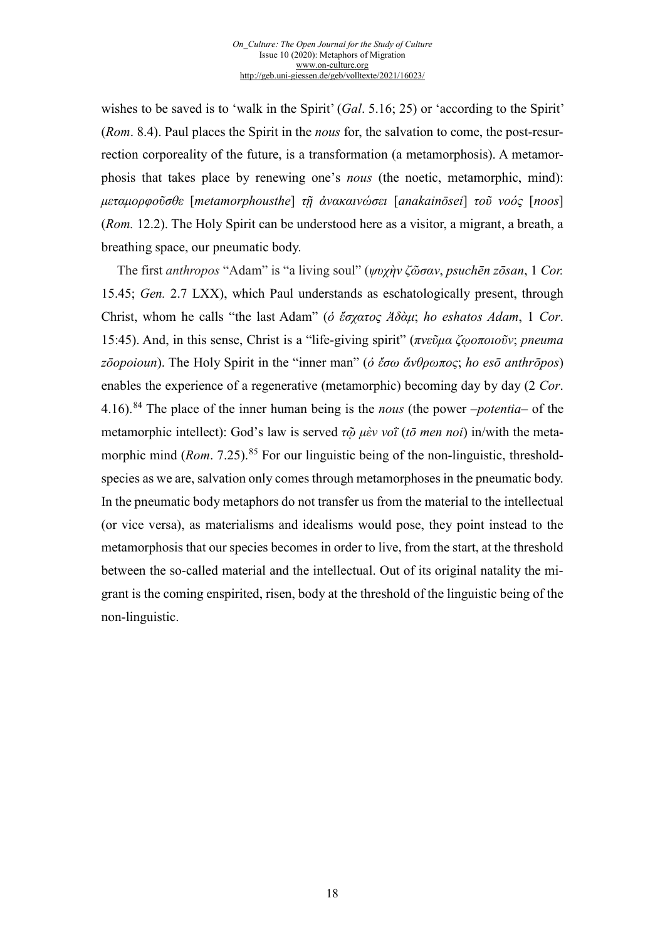<span id="page-17-4"></span>wishes to be saved is to 'walk in the Spirit' (*Gal*. 5.16; 25) or 'according to the Spirit' (*Rom*. 8.4). Paul places the Spirit in the *nous* for, the salvation to come, the post-resurrection corporeality of the future, is a transformation (a metamorphosis). A metamorphosis that takes place by renewing one's *nous* (the noetic, metamorphic, mind): *μεταμορφοῦσθε* [*metamorphousthe*] *τῇ ἀνακαινώσει* [*anakainōsei*] *τοῦ νοός* [*noos*] (*Rom.* 12.2). The Holy Spirit can be understood here as a visitor, a migrant, a breath, a breathing space, our pneumatic body.

<span id="page-17-3"></span><span id="page-17-2"></span><span id="page-17-1"></span><span id="page-17-0"></span>The first *anthropos* "Adam" is "a living soul" (*ψυχὴν ζῶσαν*, *psuchēn zōsan*, 1 *Cor.*  15.45; *Gen.* 2.7 LXX), which Paul understands as eschatologically present, through Christ, whom he calls "the last Adam" (*ὁ ἔσχατος Ἀδὰμ*; *ho eshatos Adam*, 1 *Cor*. 15:45). And, in this sense, Christ is a "life-giving spirit" (*πνεῦμα ζῳοποιοῦν*; *pneuma zōopoioun*). The Holy Spirit in the "inner man" (*ὁ ἔσω ἄνθρωπος*; *ho esō anthrōpos*) enables the experience of a regenerative (metamorphic) becoming day by day (2 *Cor*. 4.16).[84](#page-21-0) The place of the inner human being is the *nous* (the power –*potentia*– of the metamorphic intellect): God's law is served *τῷ μὲν νοῒ* (*tō men noi*) in/with the metamorphic mind (*Rom.* 7.25).<sup>[85](#page-21-1)</sup> For our linguistic being of the non-linguistic, thresholdspecies as we are, salvation only comes through metamorphoses in the pneumatic body. In the pneumatic body metaphors do not transfer us from the material to the intellectual (or vice versa), as materialisms and idealisms would pose, they point instead to the metamorphosis that our species becomes in order to live, from the start, at the threshold between the so-called material and the intellectual. Out of its original natality the migrant is the coming enspirited, risen, body at the threshold of the linguistic being of the non-linguistic.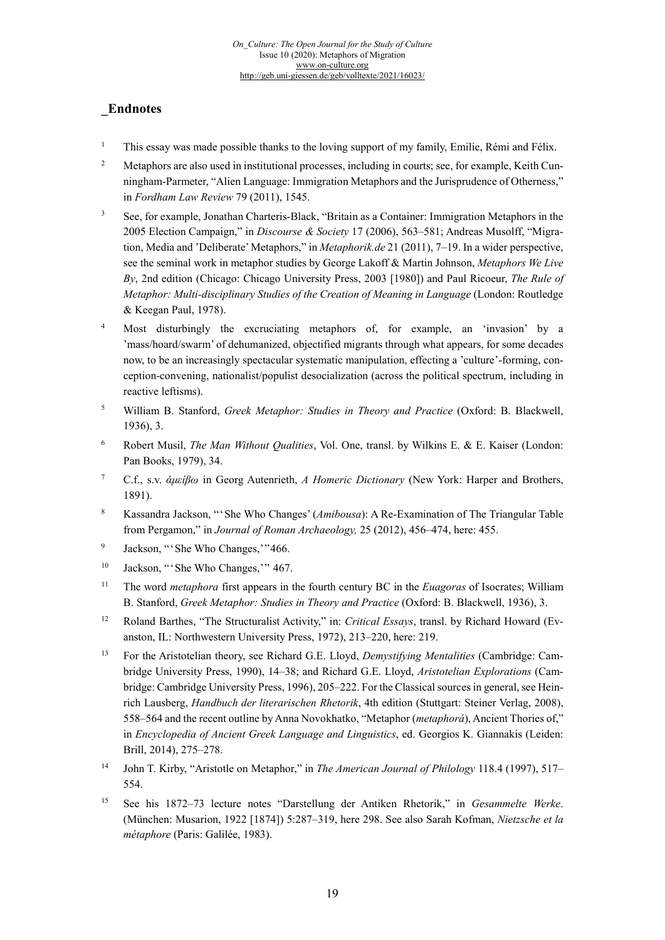# **\_Endnotes**

- <sup>1</sup> This essay was made possible thanks to the loving support of my family, Emilie, Rémi and Félix.
- <span id="page-18-0"></span><sup>2</sup> Metaphors are also used in institutional processes, including in courts; see, for example, Keith Cunningham-Parmeter, "Alien Language: Immigration Metaphors and the Jurisprudence of Otherness," in *Fordham Law Review* 79 (2011), 1545.
- <span id="page-18-1"></span><sup>3</sup> See, for example, Jonathan Charteris-Black, "Britain as a Container: Immigration Metaphors in the 2005 Election Campaign," in *Discourse & Society* 17 (2006), 563–581; Andreas Musolff, "Migration, Media and 'Deliberate' Metaphors," in *Metaphorik.de* 21 (2011), 7–19. In a wider perspective, see the seminal work in metaphor studies by George Lakoff & Martin Johnson, *Metaphors We Live By*, 2nd edition (Chicago: Chicago University Press, 2003 [1980]) and Paul Ricoeur, *The Rule of Metaphor: Multi-disciplinary Studies of the Creation of Meaning in Language* (London: Routledge & Keegan Paul, 1978).
- <span id="page-18-3"></span><span id="page-18-2"></span><sup>4</sup> Most disturbingly the excruciating metaphors of, for example, an 'invasion' by a 'mass/hoard/swarm' of dehumanized, objectified migrants through what appears, for some decades now, to be an increasingly spectacular systematic manipulation, effecting a 'culture'-forming, conception-convening, nationalist/populist desocialization (across the political spectrum, including in reactive leftisms).
- <span id="page-18-4"></span><sup>5</sup> William B. Stanford, *Greek Metaphor: Studies in Theory and Practice* (Oxford: B. Blackwell, 1936), 3.
- <sup>6</sup> Robert Musil, *The Man Without Qualities*, Vol. One, transl. by Wilkins E. & E. Kaiser (London: Pan Books, 1979), 34.
- <span id="page-18-6"></span><span id="page-18-5"></span><sup>7</sup> C.f., s.v. *ἀμείβω* in Georg Autenrieth, *A Homeric Dictionary* (New York: Harper and Brothers, 1891).
- <span id="page-18-7"></span><sup>8</sup> Kassandra Jackson, "'She Who Changes' (*Amibousa*): A Re-Examination of The Triangular Table from Pergamon," in *Journal of Roman Archaeology,* 25 (2012), 456–474, here: 455.
- <sup>9</sup> Jackson, "'She Who Changes, '"466.
- <sup>10</sup> Jackson, "'She Who Changes,'" 467.
- <sup>11</sup> The word *metaphora* first appears in the fourth century BC in the *Euagoras* of Isocrates; William B. Stanford, *Greek Metaphor: Studies in Theory and Practice* (Oxford: B. Blackwell, 1936), 3.
- <sup>12</sup> Roland Barthes, "The Structuralist Activity," in: *Critical Essays*, transl. by Richard Howard (Evanston, IL: Northwestern University Press, 1972), 213–220, here: 219.
- <sup>13</sup> For the Aristotelian theory, see Richard G.E. Lloyd, *Demystifying Mentalities* (Cambridge: Cambridge University Press, 1990), 14–38; and Richard G.E. Lloyd, *Aristotelian Explorations* (Cambridge: Cambridge University Press, 1996), 205–222. For the Classical sources in general, see Heinrich Lausberg, *Handbuch der literarischen Rhetorik*, 4th edition (Stuttgart: Steiner Verlag, 2008), 558–564 and the recent outline by Anna Novokhatko, "Metaphor (*metaphorá*), Ancient Thories of," in *Encyclopedia of Ancient Greek Language and Linguistics*, ed. Georgios K. Giannakis (Leiden: Brill, 2014), 275–278.
- <sup>14</sup> John T. Kirby, "Aristotle on Metaphor," in *The American Journal of Philology* 118.4 (1997), 517– 554.
- <sup>15</sup> See his 1872–73 lecture notes "Darstellung der Antiken Rhetorik," in *Gesammelte Werke*. (München: Musarion, 1922 [1874]) 5:287–319, here 298. See also Sarah Kofman, *Nietzsche et la métaphore* (Paris: Galilée, 1983).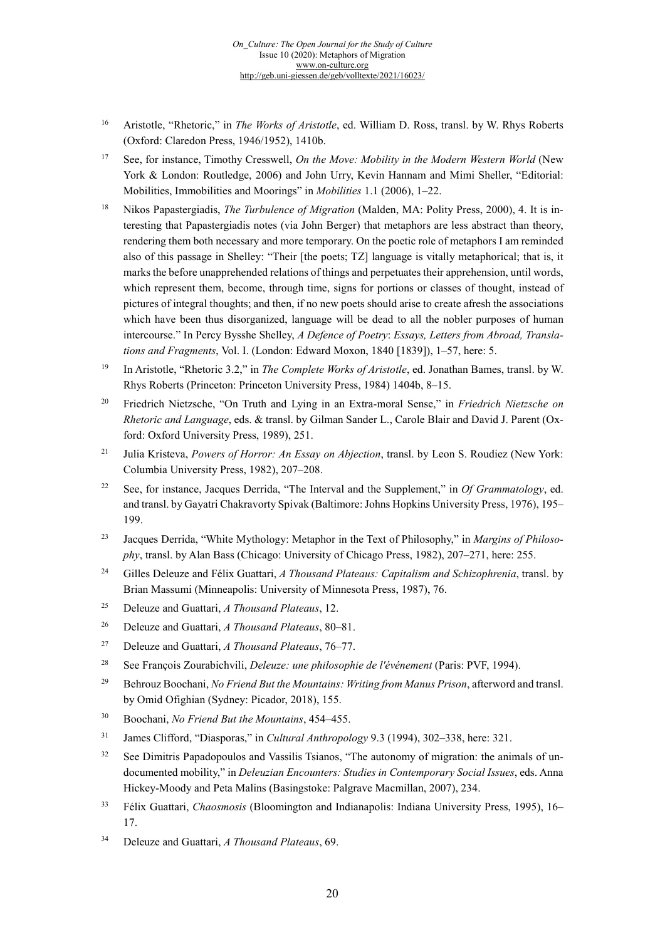- <sup>16</sup> Aristotle, "Rhetoric," in *The Works of Aristotle*, ed. William D. Ross, transl. by W. Rhys Roberts (Oxford: Claredon Press, 1946/1952), 1410b.
- <sup>17</sup> See, for instance, Timothy Cresswell, *On the Move: Mobility in the Modern Western World* (New York & London: Routledge, 2006) and John Urry, Kevin Hannam and Mimi Sheller, "Editorial: Mobilities, Immobilities and Moorings" in *Mobilities* 1.1 (2006), 1–22.
- <sup>18</sup> Nikos Papastergiadis, *The Turbulence of Migration* (Malden, MA: Polity Press, 2000), 4. It is interesting that Papastergiadis notes (via John Berger) that metaphors are less abstract than theory, rendering them both necessary and more temporary. On the poetic role of metaphors I am reminded also of this passage in Shelley: "Their [the poets; TZ] language is vitally metaphorical; that is, it marks the before unapprehended relations of things and perpetuates their apprehension, until words, which represent them, become, through time, signs for portions or classes of thought, instead of pictures of integral thoughts; and then, if no new poets should arise to create afresh the associations which have been thus disorganized, language will be dead to all the nobler purposes of human intercourse." In Percy Bysshe Shelley, *A Defence of Poetry*: *Essays, Letters from Abroad, Translations and Fragments*, Vol. I. (London: Edward Moxon, 1840 [1839]), 1–57, here: 5.
- <sup>19</sup> In Aristotle, "Rhetoric 3.2," in *The Complete Works of Aristotle*, ed. Jonathan Bames, transl. by W. Rhys Roberts (Princeton: Princeton University Press, 1984) 1404b, 8–15.
- <sup>20</sup> Friedrich Nietzsche, "On Truth and Lying in an Extra-moral Sense," in *Friedrich Nietzsche on Rhetoric and Language*, eds. & transl. by Gilman Sander L., Carole Blair and David J. Parent (Oxford: Oxford University Press, 1989), 251.
- <sup>21</sup> Julia Kristeva, *Powers of Horror: An Essay on Abjection*, transl. by Leon S. Roudiez (New York: Columbia University Press, 1982), 207–208.
- <sup>22</sup> See, for instance, Jacques Derrida, "The Interval and the Supplement," in *Of Grammatology*, ed. and transl. by Gayatri Chakravorty Spivak (Baltimore: Johns Hopkins University Press, 1976), 195– 199.
- <sup>23</sup> Jacques Derrida, "White Mythology: Metaphor in the Text of Philosophy," in *Margins of Philosophy*, transl. by Alan Bass (Chicago: University of Chicago Press, 1982), 207–271, here: 255.
- <span id="page-19-0"></span><sup>24</sup> Gilles Deleuze and Félix Guattari, *A Thousand Plateaus: Capitalism and Schizophrenia*, transl. by Brian Massumi (Minneapolis: University of Minnesota Press, 1987), 76.
- <sup>25</sup> Deleuze and Guattari, *A Thousand Plateaus*, 12.
- <span id="page-19-1"></span><sup>26</sup> Deleuze and Guattari, *A Thousand Plateaus*, 80–81.
- <sup>27</sup> Deleuze and Guattari, *A Thousand Plateaus*, 76–77.
- <sup>28</sup> See François Zourabichvili, *Deleuze: une philosophie de l'événement* (Paris: PVF, 1994).
- <span id="page-19-2"></span><sup>29</sup> Behrouz Boochani, *No Friend But the Mountains: Writing from Manus Prison*, afterword and transl. by Omid Ofighian (Sydney: Picador, 2018), 155.
- <sup>30</sup> Boochani, *No Friend But the Mountains*, 454–455.
- <sup>31</sup> James Clifford, "Diasporas," in *Cultural Anthropology* 9.3 (1994), 302–338, here: 321.
- <sup>32</sup> See Dimitris Papadopoulos and Vassilis Tsianos, "The autonomy of migration: the animals of undocumented mobility," in *Deleuzian Encounters: Studies in Contemporary Social Issues*, eds. Anna Hickey-Moody and Peta Malins (Basingstoke: Palgrave Macmillan, 2007), 234.
- <span id="page-19-3"></span><sup>33</sup> Félix Guattari, *Chaosmosis* (Bloomington and Indianapolis: Indiana University Press, 1995), 16– 17.
- <span id="page-19-4"></span><sup>34</sup> Deleuze and Guattari, *A Thousand Plateaus*, 69.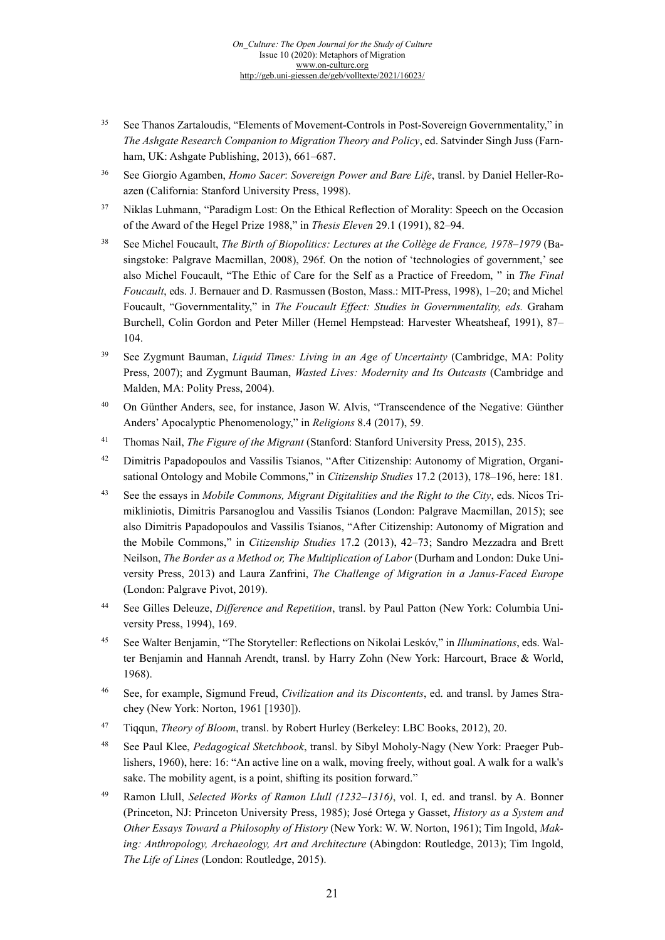- <span id="page-20-1"></span><sup>35</sup> See Thanos Zartaloudis, "Elements of Movement-Controls in Post-Sovereign Governmentality," in *The Ashgate Research Companion to Migration Theory and Policy*, ed. Satvinder Singh Juss (Farnham, UK: Ashgate Publishing, 2013), 661–687.
- <span id="page-20-2"></span><sup>36</sup> See Giorgio Agamben, *Homo Sacer*: *Sovereign Power and Bare Life*, transl. by Daniel Heller-Roazen (California: Stanford University Press, 1998).
- <sup>37</sup> Niklas Luhmann, "Paradigm Lost: On the Ethical Reflection of Morality: Speech on the Occasion of the Award of the Hegel Prize 1988," in *Thesis Eleven* 29.1 (1991), 82–94.
- <span id="page-20-3"></span><sup>38</sup> See Michel Foucault, *The Birth of Biopolitics: Lectures at the Collège de France, 1978–1979* (Basingstoke: Palgrave Macmillan, 2008), 296f. On the notion of 'technologies of government,' see also Michel Foucault, "The Ethic of Care for the Self as a Practice of Freedom, " in *The Final Foucault*, eds. J. Bernauer and D. Rasmussen (Boston, Mass.: MIT-Press, 1998), 1–20; and Michel Foucault, "Governmentality," in *The Foucault Effect: Studies in Governmentality, eds.* Graham Burchell, Colin Gordon and Peter Miller (Hemel Hempstead: Harvester Wheatsheaf, 1991), 87– 104.
- <sup>39</sup> See Zygmunt Bauman, *Liquid Times: Living in an Age of Uncertainty* (Cambridge, MA: Polity Press, 2007); and Zygmunt Bauman, *Wasted Lives: Modernity and Its Outcasts* (Cambridge and Malden, MA: Polity Press, 2004).
- <sup>40</sup> On Günther Anders, see, for instance, Jason W. Alvis, "Transcendence of the Negative: Günther Anders' Apocalyptic Phenomenology," in *Religions* 8.4 (2017), 59.
- <sup>41</sup> Thomas Nail, *The Figure of the Migrant* (Stanford: Stanford University Press, 2015), 235.
- <sup>42</sup> Dimitris Papadopoulos and Vassilis Tsianos, "After Citizenship: Autonomy of Migration, Organisational Ontology and Mobile Commons," in *Citizenship Studies* 17.2 (2013), 178–196, here: 181.
- <sup>43</sup> See the essays in *Mobile Commons, Migrant Digitalities and the Right to the City*, eds. Nicos Trimikliniotis, Dimitris Parsanoglou and Vassilis Tsianos (London: Palgrave Macmillan, 2015); see also Dimitris Papadopoulos and Vassilis Tsianos, "After Citizenship: Autonomy of Migration and the Mobile Commons," in *Citizenship Studies* 17.2 (2013), 42–73; Sandro Mezzadra and Brett Neilson, *The Border as a Method or, The Multiplication of Labor* (Durham and London: Duke University Press, 2013) and Laura Zanfrini, *The Challenge of Migration in a Janus-Faced Europe* (London: Palgrave Pivot, 2019).
- <sup>44</sup> See Gilles Deleuze, *Difference and Repetition*, transl. by Paul Patton (New York: Columbia University Press, 1994), 169.
- <sup>45</sup> See Walter Benjamin, "The Storyteller: Reflections on Nikolai Leskóv," in *Illuminations*, eds. Walter Benjamin and Hannah Arendt, transl. by Harry Zohn (New York: Harcourt, Brace & World, 1968).
- <sup>46</sup> See, for example, Sigmund Freud, *Civilization and its Discontents*, ed. and transl. by James Strachey (New York: Norton, 1961 [1930]).
- <sup>47</sup> Tiqqun, *Theory of Bloom*, transl. by Robert Hurley (Berkeley: LBC Books, 2012), 20.
- <sup>48</sup> See Paul Klee, *Pedagogical Sketchbook*, transl. by Sibyl Moholy-Nagy (New York: Praeger Publishers, 1960), here: 16: "An active line on a walk, moving freely, without goal. A walk for a walk's sake. The mobility agent, is a point, shifting its position forward."
- <span id="page-20-0"></span><sup>49</sup> Ramon Llull, *Selected Works of Ramon Llull (1232–1316)*, vol. I, ed. and transl. by A. Bonner (Princeton, NJ: Princeton University Press, 1985); José Ortega y Gasset, *History as a System and Other Essays Toward a Philosophy of History* (New York: W. W. Norton, 1961); Tim Ingold, *Making: Anthropology, Archaeology, Art and Architecture* (Abingdon: Routledge, 2013); Tim Ingold, *The Life of Lines* (London: Routledge, 2015).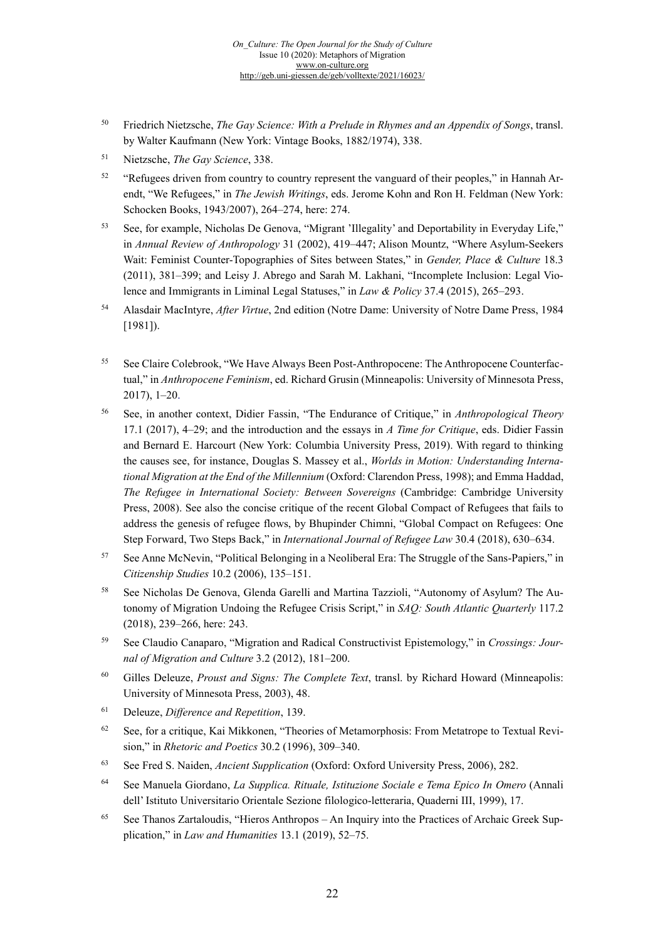- <sup>50</sup> Friedrich Nietzsche, *The Gay Science: With a Prelude in Rhymes and an Appendix of Songs*, transl. by Walter Kaufmann (New York: Vintage Books, 1882/1974), 338.
- <sup>51</sup> Nietzsche, *The Gay Science*, 338.
- <sup>52</sup> "Refugees driven from country to country represent the vanguard of their peoples," in Hannah Arendt, "We Refugees," in *The Jewish Writings*, eds. Jerome Kohn and Ron H. Feldman (New York: Schocken Books, 1943/2007), 264–274, here: 274.
- <sup>53</sup> See, for example, Nicholas De Genova, "Migrant 'Illegality' and Deportability in Everyday Life," in *Annual Review of Anthropology* 31 (2002), 419–447; Alison Mountz, "Where Asylum-Seekers Wait: Feminist Counter-Topographies of Sites between States," in *Gender, Place & Culture* 18.3 (2011), 381–399; and Leisy J. Abrego and Sarah M. Lakhani, "Incomplete Inclusion: Legal Violence and Immigrants in Liminal Legal Statuses," in *Law & Policy* 37.4 (2015), 265–293.
- <span id="page-21-0"></span><sup>54</sup> Alasdair MacIntyre, *After Virtue*, 2nd edition (Notre Dame: University of Notre Dame Press, 1984 [1981]).
- <span id="page-21-1"></span><sup>55</sup> See Claire Colebrook, "We Have Always Been Post-Anthropocene: The Anthropocene Counterfactual," in *Anthropocene Feminism*, ed. Richard Grusin (Minneapolis: University of Minnesota Press, 2017), 1–20.
- <sup>56</sup> See, in another context, Didier Fassin, "The Endurance of Critique," in *Anthropological Theory* 17.1 (2017), 4–29; and the introduction and the essays in *A Time for Critique*, eds. Didier Fassin and Bernard E. Harcourt (New York: Columbia University Press, 2019). With regard to thinking the causes see, for instance, Douglas S. Massey et al., *Worlds in Motion: Understanding International Migration at the End of the Millennium* (Oxford: Clarendon Press, 1998); and Emma Haddad, *The Refugee in International Society: Between Sovereigns* (Cambridge: Cambridge University Press, 2008). See also the concise critique of the recent Global Compact of Refugees that fails to address the genesis of refugee flows, by Bhupinder Chimni, "Global Compact on Refugees: One Step Forward, Two Steps Back," in *International Journal of Refugee Law* 30.4 (2018), 630–634.
- <sup>57</sup> See Anne McNevin, "Political Belonging in a Neoliberal Era: The Struggle of the Sans-Papiers," in *Citizenship Studies* 10.2 (2006), 135–151.
- <sup>58</sup> See Nicholas De Genova, Glenda Garelli and Martina Tazzioli, "Autonomy of Asylum? The Autonomy of Migration Undoing the Refugee Crisis Script," in *SAQ: South Atlantic Quarterly* 117.2 (2018), 239–266, here: 243.
- <sup>59</sup> See Claudio Canaparo, "Migration and Radical Constructivist Epistemology," in *Crossings: Journal of Migration and Culture* 3.2 (2012), 181–200.
- <sup>60</sup> Gilles Deleuze, *Proust and Signs: The Complete Text*, transl. by Richard Howard (Minneapolis: University of Minnesota Press, 2003), 48.
- <sup>61</sup> Deleuze, *Difference and Repetition*, 139.
- <sup>62</sup> See, for a critique, Kai Mikkonen, "Theories of Metamorphosis: From Metatrope to Textual Revision," in *Rhetoric and Poetics* 30.2 (1996), 309–340.
- <sup>63</sup> See Fred S. Naiden, *Ancient Supplication* (Oxford: Oxford University Press, 2006), 282.
- <sup>64</sup> See Manuela Giordano, *La Supplica. Rituale, Istituzione Sociale e Tema Epico In Omero* (Annali dell' Istituto Universitario Orientale Sezione filologico-letteraria, Quaderni III, 1999), 17.
- <sup>65</sup> See Thanos Zartaloudis, "Hieros Anthropos An Inquiry into the Practices of Archaic Greek Supplication," in *Law and Humanities* 13.1 (2019), 52–75.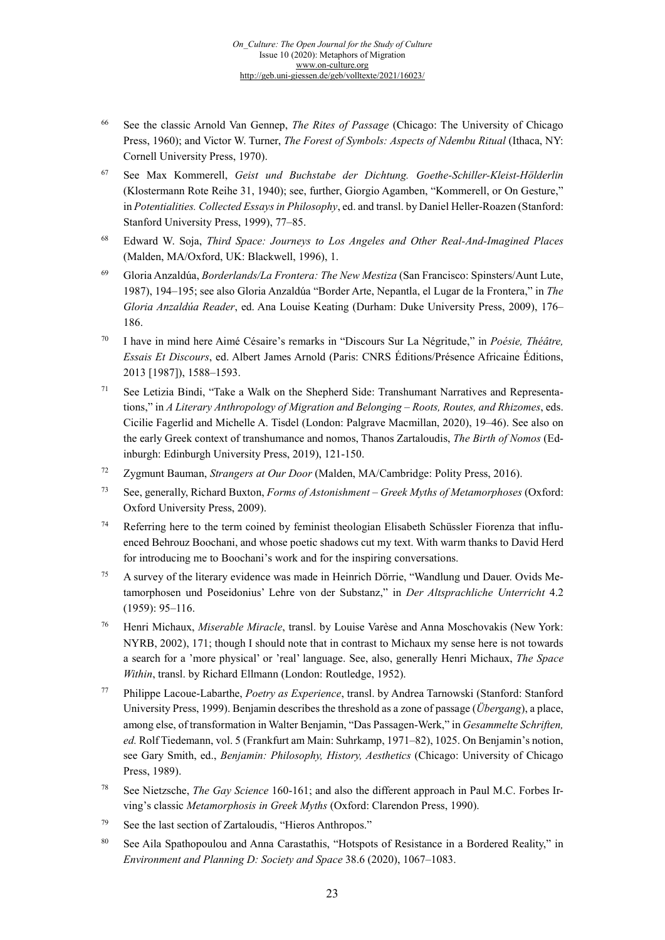- <sup>66</sup> See the classic Arnold Van Gennep, *The Rites of Passage* (Chicago: The University of Chicago Press, 1960); and Victor W. Turner, *The Forest of Symbols: Aspects of Ndembu Ritual* (Ithaca, NY: Cornell University Press, 1970).
- <sup>67</sup> See Max Kommerell, *Geist und Buchstabe der Dichtung. Goethe-Schiller-Kleist-Hölderlin* (Klostermann Rote Reihe 31, 1940); see, further, Giorgio Agamben, "Kommerell, or On Gesture," in *Potentialities. Collected Essays in Philosophy*, ed. and transl. by Daniel Heller-Roazen (Stanford: Stanford University Press, 1999), 77–85.
- <sup>68</sup> Edward W. Soja, *Third Space: Journeys to Los Angeles and Other Real-And-Imagined Places* (Malden, MA/Oxford, UK: Blackwell, 1996), 1.
- <sup>69</sup> Gloria Anzaldúa, *Borderlands/La Frontera: The New Mestiza* (San Francisco: Spinsters/Aunt Lute, 1987), 194–195; see also Gloria Anzaldúa "Border Arte, Nepantla, el Lugar de la Frontera," in *The Gloria Anzaldúa Reader*, ed. Ana Louise Keating (Durham: Duke University Press, 2009), 176– 186.
- <sup>70</sup> I have in mind here Aimé Césaire's remarks in "Discours Sur La Négritude," in *Poésie, Théâtre, Essais Et Discours*, ed. Albert James Arnold (Paris: CNRS Éditions/Présence Africaine Éditions, 2013 [1987]), 1588–1593.
- <sup>71</sup> See Letizia Bindi, "Take a Walk on the Shepherd Side: Transhumant Narratives and Representations," in *A Literary Anthropology of Migration and Belonging – Roots, Routes, and Rhizomes*, eds. Cicilie Fagerlid and Michelle A. Tisdel (London: Palgrave Macmillan, 2020), 19–46). See also on the early Greek context of transhumance and nomos, Thanos Zartaloudis, *The Birth of Nomos* (Edinburgh: Edinburgh University Press, 2019), 121-150.
- <sup>72</sup> Zygmunt Bauman, *Strangers at Our Door* (Malden, MA/Cambridge: Polity Press, 2016).
- <sup>73</sup> See, generally, Richard Buxton, *Forms of Astonishment – Greek Myths of Metamorphoses* (Oxford: Oxford University Press, 2009).
- <sup>74</sup> Referring here to the term coined by feminist theologian Elisabeth Schüssler Fiorenza that influenced Behrouz Boochani, and whose poetic shadows cut my text. With warm thanks to David Herd for introducing me to Boochani's work and for the inspiring conversations.
- <sup>75</sup> A survey of the literary evidence was made in Heinrich Dörrie, "Wandlung und Dauer. Ovids Metamorphosen und Poseidonius' Lehre von der Substanz," in *Der Altsprachliche Unterricht* 4.2 (1959): 95–116.
- <sup>76</sup> Henri Michaux, *Miserable Miracle*, transl. by Louise Varèse and Anna Moschovakis (New York: NYRB, 2002), 171; though I should note that in contrast to Michaux my sense here is not towards a search for a 'more physical' or 'real' language. See, also, generally Henri Michaux, *The Space Within*, transl. by Richard Ellmann (London: Routledge, 1952).
- <sup>77</sup> Philippe Lacoue-Labarthe, *Poetry as Experience*, transl. by Andrea Tarnowski (Stanford: Stanford University Press, 1999). Benjamin describes the threshold as a zone of passage (*Übergang*), a place, among else, of transformation in Walter Benjamin, "Das Passagen-Werk," in *Gesammelte Schriften, ed.* Rolf Tiedemann, vol. 5 (Frankfurt am Main: Suhrkamp, 1971–82), 1025. On Benjamin's notion, see Gary Smith, ed., *Benjamin: Philosophy, History, Aesthetics* (Chicago: University of Chicago Press, 1989).
- <sup>78</sup> See Nietzsche, *The Gay Science* 160-161; and also the different approach in Paul M.C. Forbes Irving's classic *Metamorphosis in Greek Myths* (Oxford: Clarendon Press, 1990).
- <sup>79</sup> See the last section of Zartaloudis, "Hieros Anthropos."
- <sup>80</sup> See Aila Spathopoulou and Anna Carastathis, "Hotspots of Resistance in a Bordered Reality," in *Environment and Planning D: Society and Space* 38.6 (2020), 1067–1083.